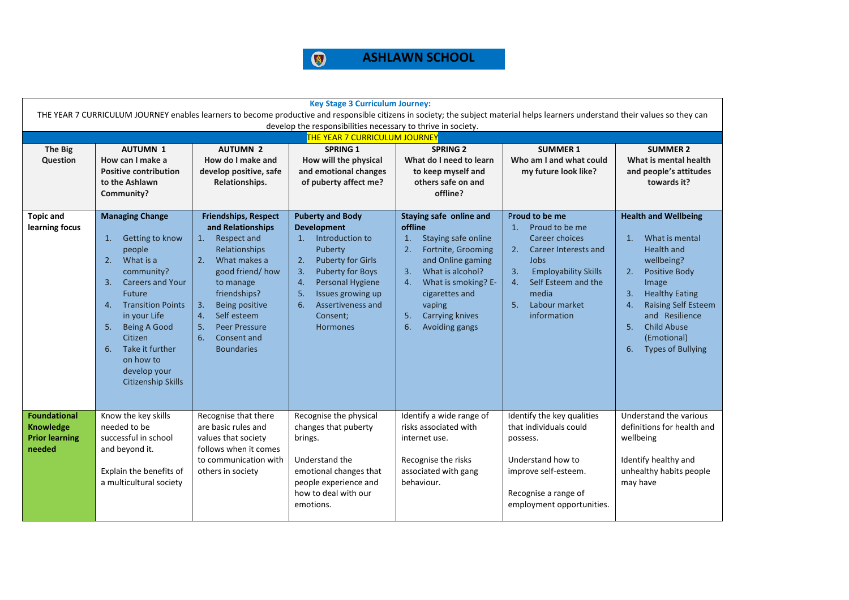

| <b>Key Stage 3 Curriculum Journey:</b>                       |                                                                                                                                                                                  |                                                                       |                                                                        |                                                                 |                                                                      |                                                                 |  |  |  |
|--------------------------------------------------------------|----------------------------------------------------------------------------------------------------------------------------------------------------------------------------------|-----------------------------------------------------------------------|------------------------------------------------------------------------|-----------------------------------------------------------------|----------------------------------------------------------------------|-----------------------------------------------------------------|--|--|--|
|                                                              | THE YEAR 7 CURRICULUM JOURNEY enables learners to become productive and responsible citizens in society; the subject material helps learners understand their values so they can |                                                                       |                                                                        |                                                                 |                                                                      |                                                                 |  |  |  |
| develop the responsibilities necessary to thrive in society. |                                                                                                                                                                                  |                                                                       |                                                                        |                                                                 |                                                                      |                                                                 |  |  |  |
|                                                              |                                                                                                                                                                                  |                                                                       | <b>THE YEAR 7 CURRICULUM JOURNEY</b>                                   |                                                                 |                                                                      |                                                                 |  |  |  |
| The Big                                                      | <b>AUTUMN 1</b>                                                                                                                                                                  | <b>AUTUMN 2</b>                                                       | SPRING 1                                                               | <b>SPRING 2</b>                                                 | <b>SUMMER 1</b>                                                      | <b>SUMMER 2</b>                                                 |  |  |  |
| Question                                                     | How can I make a                                                                                                                                                                 | How do I make and                                                     | How will the physical                                                  | What do I need to learn                                         | Who am I and what could                                              | What is mental health                                           |  |  |  |
|                                                              | <b>Positive contribution</b><br>to the Ashlawn                                                                                                                                   | develop positive, safe<br>Relationships.                              | and emotional changes<br>of puberty affect me?                         | to keep myself and<br>others safe on and                        | my future look like?                                                 | and people's attitudes<br>towards it?                           |  |  |  |
|                                                              | Community?                                                                                                                                                                       |                                                                       |                                                                        | offline?                                                        |                                                                      |                                                                 |  |  |  |
|                                                              |                                                                                                                                                                                  |                                                                       |                                                                        |                                                                 |                                                                      |                                                                 |  |  |  |
| <b>Topic and</b><br>learning focus                           | <b>Managing Change</b><br>Getting to know<br>1.                                                                                                                                  | <b>Friendships, Respect</b><br>and Relationships<br>Respect and<br>1. | <b>Puberty and Body</b><br><b>Development</b><br>Introduction to<br>1. | Staying safe online and<br>offline<br>Staying safe online<br>1. | Proud to be me<br>Proud to be me<br>$\mathbf{1}$ .<br>Career choices | <b>Health and Wellbeing</b><br>What is mental<br>1 <sub>1</sub> |  |  |  |
|                                                              | people                                                                                                                                                                           | Relationships                                                         | Puberty                                                                | 2.<br>Fortnite, Grooming                                        | 2.<br>Career Interests and                                           | <b>Health and</b>                                               |  |  |  |
|                                                              | What is a<br>2.                                                                                                                                                                  | What makes a<br>2.                                                    | 2.<br><b>Puberty for Girls</b>                                         | and Online gaming                                               | Jobs                                                                 | wellbeing?                                                      |  |  |  |
|                                                              | community?                                                                                                                                                                       | good friend/how                                                       | 3.<br>Puberty for Boys                                                 | What is alcohol?<br>3.                                          | 3.<br><b>Employability Skills</b>                                    | <b>Positive Body</b><br>2.                                      |  |  |  |
|                                                              | <b>Careers and Your</b><br>3.<br>Future                                                                                                                                          | to manage<br>friendships?                                             | 4.<br>Personal Hygiene<br>Issues growing up<br>5.                      | What is smoking? E-<br>4.<br>cigarettes and                     | Self Esteem and the<br>4.<br>media                                   | Image<br>3.<br><b>Healthy Eating</b>                            |  |  |  |
|                                                              | <b>Transition Points</b><br>4.                                                                                                                                                   | <b>Being positive</b><br>3.                                           | 6.<br>Assertiveness and                                                | vaping                                                          | Labour market<br>5.                                                  | <b>Raising Self Esteem</b><br>4.                                |  |  |  |
|                                                              | in your Life                                                                                                                                                                     | Self esteem<br>4.                                                     | Consent:                                                               | Carrying knives<br>5.                                           | information                                                          | and Resilience                                                  |  |  |  |
|                                                              | <b>Being A Good</b><br>5.                                                                                                                                                        | <b>Peer Pressure</b><br>5.                                            | <b>Hormones</b>                                                        | 6.<br>Avoiding gangs                                            |                                                                      | <b>Child Abuse</b><br>5.                                        |  |  |  |
|                                                              | Citizen                                                                                                                                                                          | 6.<br>Consent and                                                     |                                                                        |                                                                 |                                                                      | (Emotional)                                                     |  |  |  |
|                                                              | Take it further<br>6.<br>on how to                                                                                                                                               | <b>Boundaries</b>                                                     |                                                                        |                                                                 |                                                                      | <b>Types of Bullying</b><br>6.                                  |  |  |  |
|                                                              | develop your                                                                                                                                                                     |                                                                       |                                                                        |                                                                 |                                                                      |                                                                 |  |  |  |
|                                                              | <b>Citizenship Skills</b>                                                                                                                                                        |                                                                       |                                                                        |                                                                 |                                                                      |                                                                 |  |  |  |
|                                                              |                                                                                                                                                                                  |                                                                       |                                                                        |                                                                 |                                                                      |                                                                 |  |  |  |
| <b>Foundational</b>                                          | Know the key skills                                                                                                                                                              | Recognise that there                                                  | Recognise the physical                                                 | Identify a wide range of                                        | Identify the key qualities                                           | Understand the various                                          |  |  |  |
| <b>Knowledge</b>                                             | needed to be                                                                                                                                                                     | are basic rules and                                                   | changes that puberty                                                   | risks associated with                                           | that individuals could                                               | definitions for health and                                      |  |  |  |
| <b>Prior learning</b>                                        | successful in school                                                                                                                                                             | values that society                                                   | brings.                                                                | internet use.                                                   | possess.                                                             | wellbeing                                                       |  |  |  |
| needed                                                       | and beyond it.                                                                                                                                                                   | follows when it comes                                                 |                                                                        |                                                                 |                                                                      |                                                                 |  |  |  |
|                                                              |                                                                                                                                                                                  | to communication with                                                 | Understand the                                                         | Recognise the risks                                             | Understand how to                                                    | Identify healthy and                                            |  |  |  |
|                                                              | Explain the benefits of                                                                                                                                                          | others in society                                                     | emotional changes that                                                 | associated with gang                                            | improve self-esteem.                                                 | unhealthy habits people                                         |  |  |  |
|                                                              | a multicultural society                                                                                                                                                          |                                                                       | people experience and<br>how to deal with our                          | behaviour.                                                      | Recognise a range of                                                 | may have                                                        |  |  |  |
|                                                              |                                                                                                                                                                                  |                                                                       | emotions.                                                              |                                                                 | employment opportunities.                                            |                                                                 |  |  |  |
|                                                              |                                                                                                                                                                                  |                                                                       |                                                                        |                                                                 |                                                                      |                                                                 |  |  |  |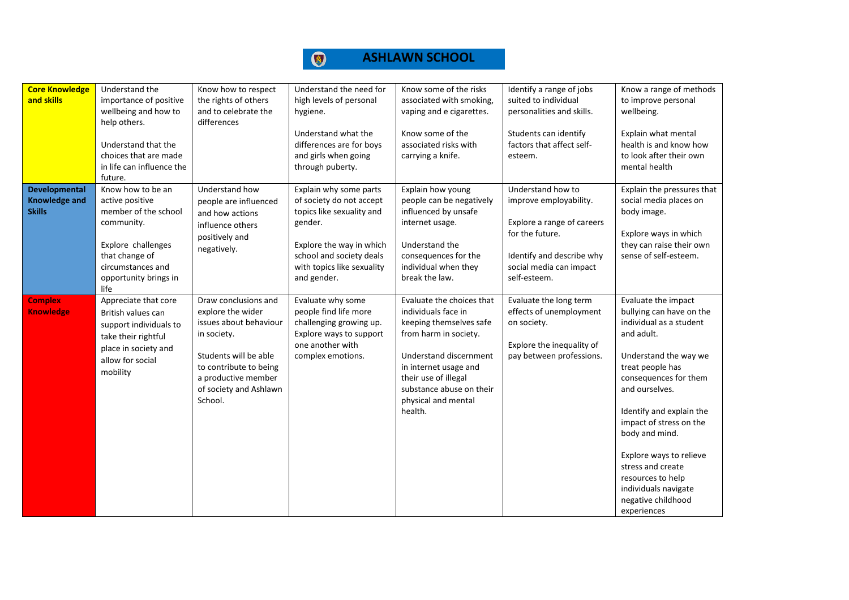| <b>Core Knowledge</b><br>and skills | Understand the<br>importance of positive           | Know how to respect<br>the rights of others   | Understand the need for<br>high levels of personal | Know some of the risks<br>associated with smoking, | Identify a range of jobs<br>suited to individual  | Know a range of methods<br>to improve personal    |
|-------------------------------------|----------------------------------------------------|-----------------------------------------------|----------------------------------------------------|----------------------------------------------------|---------------------------------------------------|---------------------------------------------------|
|                                     | wellbeing and how to                               | and to celebrate the                          | hygiene.                                           | vaping and e cigarettes.                           | personalities and skills.                         | wellbeing.                                        |
|                                     | help others.                                       | differences                                   |                                                    |                                                    |                                                   |                                                   |
|                                     |                                                    |                                               | Understand what the                                | Know some of the                                   | Students can identify                             | Explain what mental                               |
|                                     | Understand that the                                |                                               | differences are for boys                           | associated risks with                              | factors that affect self-                         | health is and know how                            |
|                                     | choices that are made<br>in life can influence the |                                               | and girls when going<br>through puberty.           | carrying a knife.                                  | esteem.                                           | to look after their own<br>mental health          |
|                                     | future.                                            |                                               |                                                    |                                                    |                                                   |                                                   |
| <b>Developmental</b>                | Know how to be an                                  | Understand how                                | Explain why some parts                             | Explain how young                                  | Understand how to                                 | Explain the pressures that                        |
| <b>Knowledge and</b>                | active positive                                    | people are influenced                         | of society do not accept                           | people can be negatively                           | improve employability.                            | social media places on                            |
| <b>Skills</b>                       | member of the school                               | and how actions                               | topics like sexuality and                          | influenced by unsafe                               |                                                   | body image.                                       |
|                                     | community.                                         | influence others                              | gender.                                            | internet usage.                                    | Explore a range of careers<br>for the future.     |                                                   |
|                                     | Explore challenges                                 | positively and                                | Explore the way in which                           | Understand the                                     |                                                   | Explore ways in which<br>they can raise their own |
|                                     | that change of                                     | negatively.                                   | school and society deals                           | consequences for the                               | Identify and describe why                         | sense of self-esteem.                             |
|                                     | circumstances and                                  |                                               | with topics like sexuality                         | individual when they                               | social media can impact                           |                                                   |
|                                     | opportunity brings in                              |                                               | and gender.                                        | break the law.                                     | self-esteem.                                      |                                                   |
|                                     | life                                               |                                               |                                                    |                                                    |                                                   |                                                   |
| <b>Complex</b><br><b>Knowledge</b>  | Appreciate that core<br>British values can         | Draw conclusions and<br>explore the wider     | Evaluate why some<br>people find life more         | Evaluate the choices that<br>individuals face in   | Evaluate the long term<br>effects of unemployment | Evaluate the impact<br>bullying can have on the   |
|                                     | support individuals to                             | issues about behaviour                        | challenging growing up.                            | keeping themselves safe                            | on society.                                       | individual as a student                           |
|                                     | take their rightful                                | in society.                                   | Explore ways to support                            | from harm in society.                              |                                                   | and adult.                                        |
|                                     | place in society and                               |                                               | one another with                                   |                                                    | Explore the inequality of                         |                                                   |
|                                     | allow for social                                   | Students will be able                         | complex emotions.                                  | Understand discernment                             | pay between professions.                          | Understand the way we                             |
|                                     | mobility                                           | to contribute to being<br>a productive member |                                                    | in internet usage and<br>their use of illegal      |                                                   | treat people has<br>consequences for them         |
|                                     |                                                    | of society and Ashlawn                        |                                                    | substance abuse on their                           |                                                   | and ourselves.                                    |
|                                     |                                                    | School.                                       |                                                    | physical and mental                                |                                                   |                                                   |
|                                     |                                                    |                                               |                                                    | health.                                            |                                                   | Identify and explain the                          |
|                                     |                                                    |                                               |                                                    |                                                    |                                                   | impact of stress on the                           |
|                                     |                                                    |                                               |                                                    |                                                    |                                                   | body and mind.                                    |
|                                     |                                                    |                                               |                                                    |                                                    |                                                   | Explore ways to relieve                           |
|                                     |                                                    |                                               |                                                    |                                                    |                                                   | stress and create                                 |
|                                     |                                                    |                                               |                                                    |                                                    |                                                   | resources to help                                 |
|                                     |                                                    |                                               |                                                    |                                                    |                                                   | individuals navigate                              |
|                                     |                                                    |                                               |                                                    |                                                    |                                                   | negative childhood                                |
|                                     |                                                    |                                               |                                                    |                                                    |                                                   | experiences                                       |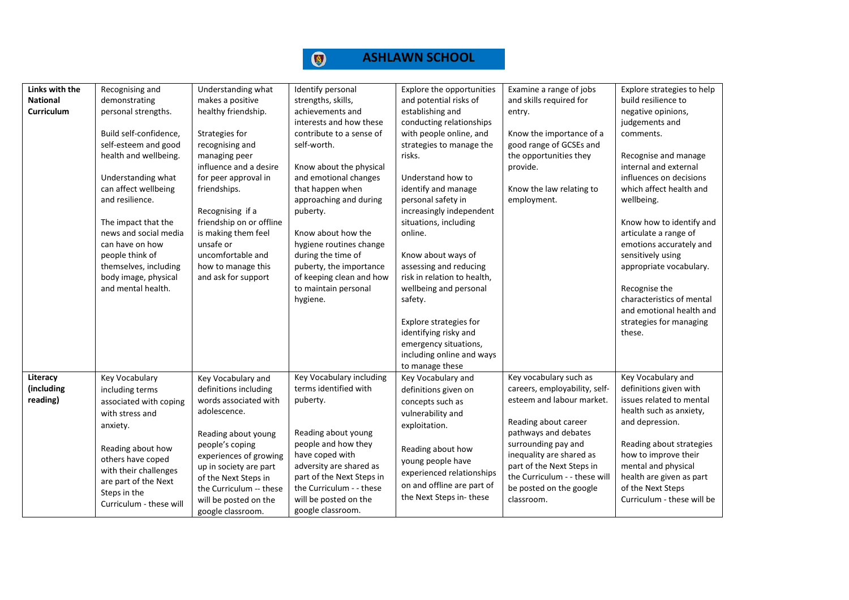

| Links with the<br><b>National</b><br>Curriculum | Recognising and<br>demonstrating<br>personal strengths.<br>Build self-confidence,<br>self-esteem and good<br>health and wellbeing.<br>Understanding what<br>can affect wellbeing<br>and resilience.<br>The impact that the<br>news and social media<br>can have on how<br>people think of<br>themselves, including<br>body image, physical<br>and mental health. | Understanding what<br>makes a positive<br>healthy friendship.<br>Strategies for<br>recognising and<br>managing peer<br>influence and a desire<br>for peer approval in<br>friendships.<br>Recognising if a<br>friendship on or offline<br>is making them feel<br>unsafe or<br>uncomfortable and<br>how to manage this<br>and ask for support | Identify personal<br>strengths, skills,<br>achievements and<br>interests and how these<br>contribute to a sense of<br>self-worth.<br>Know about the physical<br>and emotional changes<br>that happen when<br>approaching and during<br>puberty.<br>Know about how the<br>hygiene routines change<br>during the time of<br>puberty, the importance<br>of keeping clean and how<br>to maintain personal<br>hygiene. | Explore the opportunities<br>and potential risks of<br>establishing and<br>conducting relationships<br>with people online, and<br>strategies to manage the<br>risks.<br>Understand how to<br>identify and manage<br>personal safety in<br>increasingly independent<br>situations, including<br>online.<br>Know about ways of<br>assessing and reducing<br>risk in relation to health,<br>wellbeing and personal<br>safety.<br>Explore strategies for<br>identifying risky and<br>emergency situations,<br>including online and ways<br>to manage these | Examine a range of jobs<br>and skills required for<br>entry.<br>Know the importance of a<br>good range of GCSEs and<br>the opportunities they<br>provide.<br>Know the law relating to<br>employment.                                                                                           | Explore strategies to help<br>build resilience to<br>negative opinions,<br>judgements and<br>comments.<br>Recognise and manage<br>internal and external<br>influences on decisions<br>which affect health and<br>wellbeing.<br>Know how to identify and<br>articulate a range of<br>emotions accurately and<br>sensitively using<br>appropriate vocabulary.<br>Recognise the<br>characteristics of mental<br>and emotional health and<br>strategies for managing<br>these. |
|-------------------------------------------------|------------------------------------------------------------------------------------------------------------------------------------------------------------------------------------------------------------------------------------------------------------------------------------------------------------------------------------------------------------------|---------------------------------------------------------------------------------------------------------------------------------------------------------------------------------------------------------------------------------------------------------------------------------------------------------------------------------------------|-------------------------------------------------------------------------------------------------------------------------------------------------------------------------------------------------------------------------------------------------------------------------------------------------------------------------------------------------------------------------------------------------------------------|--------------------------------------------------------------------------------------------------------------------------------------------------------------------------------------------------------------------------------------------------------------------------------------------------------------------------------------------------------------------------------------------------------------------------------------------------------------------------------------------------------------------------------------------------------|------------------------------------------------------------------------------------------------------------------------------------------------------------------------------------------------------------------------------------------------------------------------------------------------|----------------------------------------------------------------------------------------------------------------------------------------------------------------------------------------------------------------------------------------------------------------------------------------------------------------------------------------------------------------------------------------------------------------------------------------------------------------------------|
| Literacy<br>(including<br>reading)              | Key Vocabulary<br>including terms<br>associated with coping<br>with stress and<br>anxiety.<br>Reading about how<br>others have coped<br>with their challenges<br>are part of the Next<br>Steps in the<br>Curriculum - these will                                                                                                                                 | Key Vocabulary and<br>definitions including<br>words associated with<br>adolescence.<br>Reading about young<br>people's coping<br>experiences of growing<br>up in society are part<br>of the Next Steps in<br>the Curriculum -- these<br>will be posted on the<br>google classroom.                                                         | Key Vocabulary including<br>terms identified with<br>puberty.<br>Reading about young<br>people and how they<br>have coped with<br>adversity are shared as<br>part of the Next Steps in<br>the Curriculum - - these<br>will be posted on the<br>google classroom.                                                                                                                                                  | Key Vocabulary and<br>definitions given on<br>concepts such as<br>vulnerability and<br>exploitation.<br>Reading about how<br>young people have<br>experienced relationships<br>on and offline are part of<br>the Next Steps in-these                                                                                                                                                                                                                                                                                                                   | Key vocabulary such as<br>careers, employability, self-<br>esteem and labour market.<br>Reading about career<br>pathways and debates<br>surrounding pay and<br>inequality are shared as<br>part of the Next Steps in<br>the Curriculum - - these will<br>be posted on the google<br>classroom. | Key Vocabulary and<br>definitions given with<br>issues related to mental<br>health such as anxiety,<br>and depression.<br>Reading about strategies<br>how to improve their<br>mental and physical<br>health are given as part<br>of the Next Steps<br>Curriculum - these will be                                                                                                                                                                                           |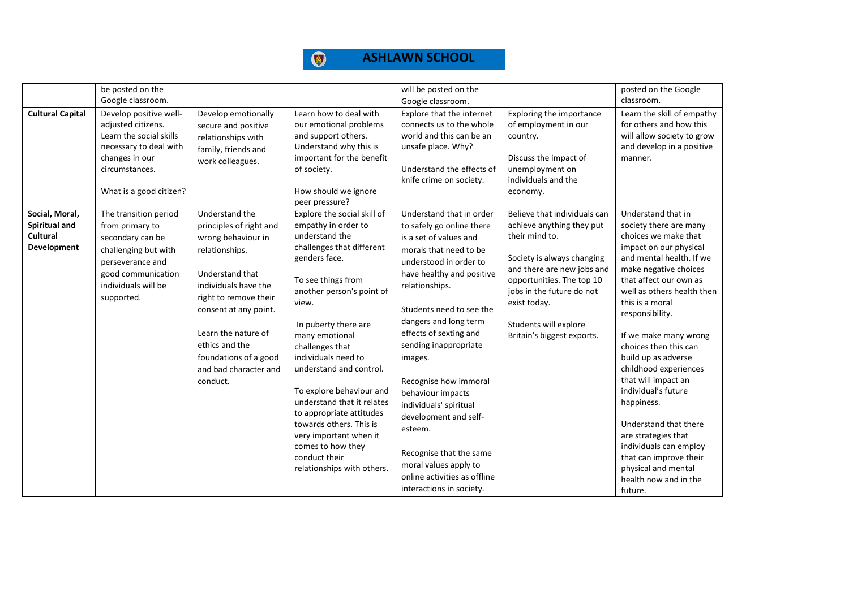|                                                                   | be posted on the<br>Google classroom.                                                                                                                               |                                                                                                                                                                                                                                                                                       |                                                                                                                                                                                                                                                                                                                                                                                                                                                                                                              | will be posted on the<br>Google classroom.                                                                                                                                                                                                                                                                                                                                                                                                                                                                                        |                                                                                                                                                                                                                                                                          | posted on the Google<br>classroom.                                                                                                                                                                                                                                                                                                                                                                                                                                                                                                                                             |
|-------------------------------------------------------------------|---------------------------------------------------------------------------------------------------------------------------------------------------------------------|---------------------------------------------------------------------------------------------------------------------------------------------------------------------------------------------------------------------------------------------------------------------------------------|--------------------------------------------------------------------------------------------------------------------------------------------------------------------------------------------------------------------------------------------------------------------------------------------------------------------------------------------------------------------------------------------------------------------------------------------------------------------------------------------------------------|-----------------------------------------------------------------------------------------------------------------------------------------------------------------------------------------------------------------------------------------------------------------------------------------------------------------------------------------------------------------------------------------------------------------------------------------------------------------------------------------------------------------------------------|--------------------------------------------------------------------------------------------------------------------------------------------------------------------------------------------------------------------------------------------------------------------------|--------------------------------------------------------------------------------------------------------------------------------------------------------------------------------------------------------------------------------------------------------------------------------------------------------------------------------------------------------------------------------------------------------------------------------------------------------------------------------------------------------------------------------------------------------------------------------|
| <b>Cultural Capital</b>                                           | Develop positive well-<br>adjusted citizens.<br>Learn the social skills<br>necessary to deal with<br>changes in our<br>circumstances.<br>What is a good citizen?    | Develop emotionally<br>secure and positive<br>relationships with<br>family, friends and<br>work colleagues.                                                                                                                                                                           | Learn how to deal with<br>our emotional problems<br>and support others.<br>Understand why this is<br>important for the benefit<br>of society.<br>How should we ignore<br>peer pressure?                                                                                                                                                                                                                                                                                                                      | Explore that the internet<br>connects us to the whole<br>world and this can be an<br>unsafe place. Why?<br>Understand the effects of<br>knife crime on society.                                                                                                                                                                                                                                                                                                                                                                   | Exploring the importance<br>of employment in our<br>country.<br>Discuss the impact of<br>unemployment on<br>individuals and the<br>economy.                                                                                                                              | Learn the skill of empathy<br>for others and how this<br>will allow society to grow<br>and develop in a positive<br>manner.                                                                                                                                                                                                                                                                                                                                                                                                                                                    |
| Social, Moral,<br>Spiritual and<br>Cultural<br><b>Development</b> | The transition period<br>from primary to<br>secondary can be<br>challenging but with<br>perseverance and<br>good communication<br>individuals will be<br>supported. | Understand the<br>principles of right and<br>wrong behaviour in<br>relationships.<br>Understand that<br>individuals have the<br>right to remove their<br>consent at any point.<br>Learn the nature of<br>ethics and the<br>foundations of a good<br>and bad character and<br>conduct. | Explore the social skill of<br>empathy in order to<br>understand the<br>challenges that different<br>genders face.<br>To see things from<br>another person's point of<br>view.<br>In puberty there are<br>many emotional<br>challenges that<br>individuals need to<br>understand and control.<br>To explore behaviour and<br>understand that it relates<br>to appropriate attitudes<br>towards others. This is<br>very important when it<br>comes to how they<br>conduct their<br>relationships with others. | Understand that in order<br>to safely go online there<br>is a set of values and<br>morals that need to be<br>understood in order to<br>have healthy and positive<br>relationships.<br>Students need to see the<br>dangers and long term<br>effects of sexting and<br>sending inappropriate<br>images.<br>Recognise how immoral<br>behaviour impacts<br>individuals' spiritual<br>development and self-<br>esteem.<br>Recognise that the same<br>moral values apply to<br>online activities as offline<br>interactions in society. | Believe that individuals can<br>achieve anything they put<br>their mind to.<br>Society is always changing<br>and there are new jobs and<br>opportunities. The top 10<br>jobs in the future do not<br>exist today.<br>Students will explore<br>Britain's biggest exports. | Understand that in<br>society there are many<br>choices we make that<br>impact on our physical<br>and mental health. If we<br>make negative choices<br>that affect our own as<br>well as others health then<br>this is a moral<br>responsibility.<br>If we make many wrong<br>choices then this can<br>build up as adverse<br>childhood experiences<br>that will impact an<br>individual's future<br>happiness.<br>Understand that there<br>are strategies that<br>individuals can employ<br>that can improve their<br>physical and mental<br>health now and in the<br>future. |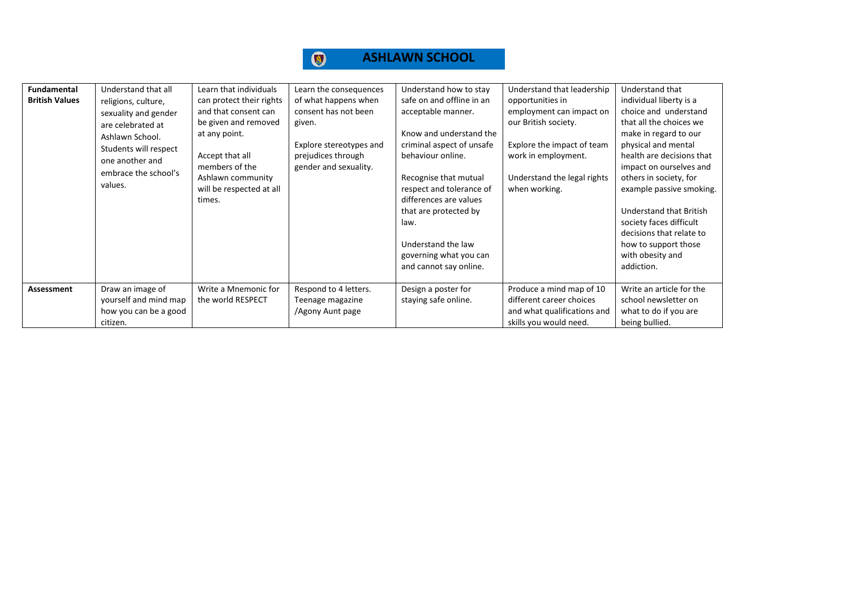| <b>Fundamental</b><br><b>British Values</b> | Understand that all<br>religions, culture,<br>sexuality and gender<br>are celebrated at<br>Ashlawn School.<br>Students will respect<br>one another and<br>embrace the school's<br>values. | Learn that individuals<br>can protect their rights<br>and that consent can<br>be given and removed<br>at any point.<br>Accept that all<br>members of the<br>Ashlawn community<br>will be respected at all<br>times. | Learn the consequences<br>of what happens when<br>consent has not been<br>given.<br>Explore stereotypes and<br>prejudices through<br>gender and sexuality. | Understand how to stay<br>safe on and offline in an<br>acceptable manner.<br>Know and understand the<br>criminal aspect of unsafe<br>behaviour online.<br>Recognise that mutual<br>respect and tolerance of<br>differences are values<br>that are protected by<br>law.<br>Understand the law<br>governing what you can<br>and cannot say online. | Understand that leadership<br>opportunities in<br>employment can impact on<br>our British society.<br>Explore the impact of team<br>work in employment.<br>Understand the legal rights<br>when working. | Understand that<br>individual liberty is a<br>choice and understand<br>that all the choices we<br>make in regard to our<br>physical and mental<br>health are decisions that<br>impact on ourselves and<br>others in society, for<br>example passive smoking.<br>Understand that British<br>society faces difficult<br>decisions that relate to<br>how to support those<br>with obesity and<br>addiction. |
|---------------------------------------------|-------------------------------------------------------------------------------------------------------------------------------------------------------------------------------------------|---------------------------------------------------------------------------------------------------------------------------------------------------------------------------------------------------------------------|------------------------------------------------------------------------------------------------------------------------------------------------------------|--------------------------------------------------------------------------------------------------------------------------------------------------------------------------------------------------------------------------------------------------------------------------------------------------------------------------------------------------|---------------------------------------------------------------------------------------------------------------------------------------------------------------------------------------------------------|----------------------------------------------------------------------------------------------------------------------------------------------------------------------------------------------------------------------------------------------------------------------------------------------------------------------------------------------------------------------------------------------------------|
| Assessment                                  | Draw an image of<br>yourself and mind map<br>how you can be a good<br>citizen.                                                                                                            | Write a Mnemonic for<br>the world RESPECT                                                                                                                                                                           | Respond to 4 letters.<br>Teenage magazine<br>/Agony Aunt page                                                                                              | Design a poster for<br>staying safe online.                                                                                                                                                                                                                                                                                                      | Produce a mind map of 10<br>different career choices<br>and what qualifications and<br>skills you would need.                                                                                           | Write an article for the<br>school newsletter on<br>what to do if you are<br>being bullied.                                                                                                                                                                                                                                                                                                              |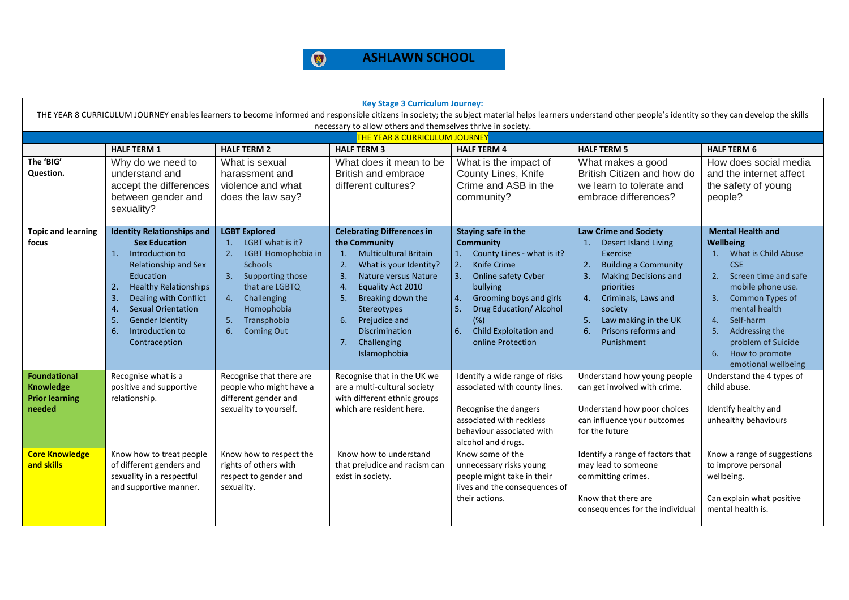

| <b>Key Stage 3 Curriculum Journey:</b><br>THE YEAR 8 CURRICULUM JOURNEY enables learners to become informed and responsible citizens in society; the subject material helps learners understand other people's identity so they can develop the skills |                                                                                                                                                                                                                                                                                                                  |                                                                                                                                                                                                                      |                                                                                                                                                                                                                                                                                                                                |                                                                                                                                                                                                                                                                         |                                                                                                                                                                                                                                                                                        |                                                                                                                                                                                                                                                                                                                  |  |  |  |  |
|--------------------------------------------------------------------------------------------------------------------------------------------------------------------------------------------------------------------------------------------------------|------------------------------------------------------------------------------------------------------------------------------------------------------------------------------------------------------------------------------------------------------------------------------------------------------------------|----------------------------------------------------------------------------------------------------------------------------------------------------------------------------------------------------------------------|--------------------------------------------------------------------------------------------------------------------------------------------------------------------------------------------------------------------------------------------------------------------------------------------------------------------------------|-------------------------------------------------------------------------------------------------------------------------------------------------------------------------------------------------------------------------------------------------------------------------|----------------------------------------------------------------------------------------------------------------------------------------------------------------------------------------------------------------------------------------------------------------------------------------|------------------------------------------------------------------------------------------------------------------------------------------------------------------------------------------------------------------------------------------------------------------------------------------------------------------|--|--|--|--|
|                                                                                                                                                                                                                                                        | necessary to allow others and themselves thrive in society.                                                                                                                                                                                                                                                      |                                                                                                                                                                                                                      |                                                                                                                                                                                                                                                                                                                                |                                                                                                                                                                                                                                                                         |                                                                                                                                                                                                                                                                                        |                                                                                                                                                                                                                                                                                                                  |  |  |  |  |
|                                                                                                                                                                                                                                                        |                                                                                                                                                                                                                                                                                                                  |                                                                                                                                                                                                                      | <b>THE YEAR 8 CURRICULUM JOURNEY</b>                                                                                                                                                                                                                                                                                           |                                                                                                                                                                                                                                                                         |                                                                                                                                                                                                                                                                                        |                                                                                                                                                                                                                                                                                                                  |  |  |  |  |
|                                                                                                                                                                                                                                                        | <b>HALF TERM 1</b>                                                                                                                                                                                                                                                                                               | <b>HALF TERM 2</b>                                                                                                                                                                                                   | <b>HALF TERM 3</b>                                                                                                                                                                                                                                                                                                             | <b>HALF TERM 4</b>                                                                                                                                                                                                                                                      | <b>HALF TERM 5</b>                                                                                                                                                                                                                                                                     | <b>HALF TERM 6</b>                                                                                                                                                                                                                                                                                               |  |  |  |  |
| The 'BIG'<br>Question.                                                                                                                                                                                                                                 | Why do we need to<br>understand and                                                                                                                                                                                                                                                                              | What is sexual<br>harassment and                                                                                                                                                                                     | What does it mean to be<br>British and embrace                                                                                                                                                                                                                                                                                 | What is the impact of<br>County Lines, Knife                                                                                                                                                                                                                            | What makes a good<br>British Citizen and how do                                                                                                                                                                                                                                        | How does social media<br>and the internet affect                                                                                                                                                                                                                                                                 |  |  |  |  |
|                                                                                                                                                                                                                                                        | accept the differences                                                                                                                                                                                                                                                                                           | violence and what                                                                                                                                                                                                    | different cultures?                                                                                                                                                                                                                                                                                                            | Crime and ASB in the                                                                                                                                                                                                                                                    | we learn to tolerate and                                                                                                                                                                                                                                                               | the safety of young                                                                                                                                                                                                                                                                                              |  |  |  |  |
|                                                                                                                                                                                                                                                        | between gender and                                                                                                                                                                                                                                                                                               | does the law say?                                                                                                                                                                                                    |                                                                                                                                                                                                                                                                                                                                | community?                                                                                                                                                                                                                                                              | embrace differences?                                                                                                                                                                                                                                                                   | people?                                                                                                                                                                                                                                                                                                          |  |  |  |  |
|                                                                                                                                                                                                                                                        | sexuality?                                                                                                                                                                                                                                                                                                       |                                                                                                                                                                                                                      |                                                                                                                                                                                                                                                                                                                                |                                                                                                                                                                                                                                                                         |                                                                                                                                                                                                                                                                                        |                                                                                                                                                                                                                                                                                                                  |  |  |  |  |
|                                                                                                                                                                                                                                                        |                                                                                                                                                                                                                                                                                                                  |                                                                                                                                                                                                                      |                                                                                                                                                                                                                                                                                                                                |                                                                                                                                                                                                                                                                         |                                                                                                                                                                                                                                                                                        |                                                                                                                                                                                                                                                                                                                  |  |  |  |  |
| <b>Topic and learning</b><br>focus                                                                                                                                                                                                                     | <b>Identity Relationships and</b><br><b>Sex Education</b><br>Introduction to<br>1.<br><b>Relationship and Sex</b><br>Education<br>2.<br><b>Healthy Relationships</b><br>3.<br>Dealing with Conflict<br><b>Sexual Orientation</b><br>4.<br>5.<br><b>Gender Identity</b><br>Introduction to<br>6.<br>Contraception | <b>LGBT Explored</b><br>LGBT what is it?<br>1.<br>LGBT Homophobia in<br>2.<br>Schools<br>3.<br>Supporting those<br>that are LGBTQ<br>Challenging<br>4.<br>Homophobia<br>Transphobia<br>5.<br>6.<br><b>Coming Out</b> | <b>Celebrating Differences in</b><br>the Community<br>1.<br><b>Multicultural Britain</b><br>2.<br>What is your Identity?<br>3.<br>Nature versus Nature<br>Equality Act 2010<br>$\overline{4}$ .<br>5.<br>Breaking down the<br>Stereotypes<br>Prejudice and<br>6.<br><b>Discrimination</b><br>Challenging<br>7.<br>Islamophobia | Staying safe in the<br><b>Community</b><br>County Lines - what is it?<br>1.<br>2.<br>Knife Crime<br>3.<br>Online safety Cyber<br>bullying<br>Grooming boys and girls<br>4.<br>5.<br>Drug Education/ Alcohol<br>(%)<br>Child Exploitation and<br>6.<br>online Protection | <b>Law Crime and Society</b><br><b>Desert Island Living</b><br>1.<br>Exercise<br>2.<br><b>Building a Community</b><br><b>Making Decisions and</b><br>3.<br>priorities<br>Criminals, Laws and<br>4.<br>society<br>Law making in the UK<br>5.<br>Prisons reforms and<br>6.<br>Punishment | <b>Mental Health and</b><br><b>Wellbeing</b><br>What is Child Abuse<br>1.<br><b>CSE</b><br>Screen time and safe<br>2.<br>mobile phone use.<br>Common Types of<br>3.<br>mental health<br>Self-harm<br>4 <sup>1</sup><br>Addressing the<br>5.<br>problem of Suicide<br>How to promote<br>6.<br>emotional wellbeing |  |  |  |  |
| <b>Foundational</b><br><b>Knowledge</b><br><b>Prior learning</b><br>needed                                                                                                                                                                             | Recognise what is a<br>positive and supportive<br>relationship.                                                                                                                                                                                                                                                  | Recognise that there are<br>people who might have a<br>different gender and<br>sexuality to yourself.                                                                                                                | Recognise that in the UK we<br>are a multi-cultural society<br>with different ethnic groups<br>which are resident here.                                                                                                                                                                                                        | Identify a wide range of risks<br>associated with county lines.<br>Recognise the dangers<br>associated with reckless<br>behaviour associated with<br>alcohol and drugs.                                                                                                 | Understand how young people<br>can get involved with crime.<br>Understand how poor choices<br>can influence your outcomes<br>for the future                                                                                                                                            | Understand the 4 types of<br>child abuse.<br>Identify healthy and<br>unhealthy behaviours                                                                                                                                                                                                                        |  |  |  |  |
| <b>Core Knowledge</b><br>and skills                                                                                                                                                                                                                    | Know how to treat people<br>of different genders and<br>sexuality in a respectful<br>and supportive manner.                                                                                                                                                                                                      | Know how to respect the<br>rights of others with<br>respect to gender and<br>sexuality.                                                                                                                              | Know how to understand<br>that prejudice and racism can<br>exist in society.                                                                                                                                                                                                                                                   | Know some of the<br>unnecessary risks young<br>people might take in their<br>lives and the consequences of<br>their actions.                                                                                                                                            | Identify a range of factors that<br>may lead to someone<br>committing crimes.<br>Know that there are<br>consequences for the individual                                                                                                                                                | Know a range of suggestions<br>to improve personal<br>wellbeing.<br>Can explain what positive<br>mental health is.                                                                                                                                                                                               |  |  |  |  |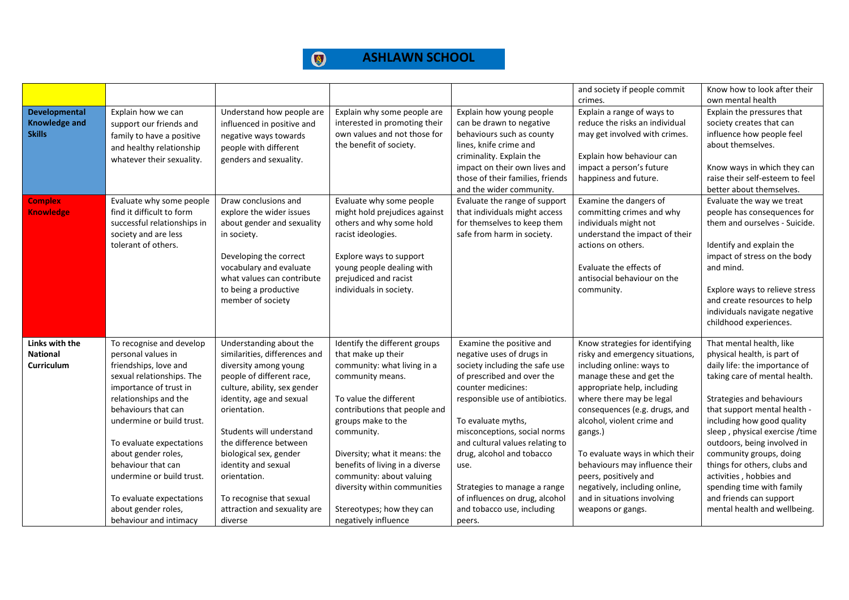#### $\bigcirc$ **ASHLAWN SCHOOL**

|                   |                             |                                                     |                                                  |                                  | and society if people commit    | Know how to look after their    |
|-------------------|-----------------------------|-----------------------------------------------------|--------------------------------------------------|----------------------------------|---------------------------------|---------------------------------|
|                   |                             |                                                     |                                                  |                                  | crimes.                         | own mental health               |
| Developmental     | Explain how we can          | Understand how people are                           | Explain why some people are                      | Explain how young people         | Explain a range of ways to      | Explain the pressures that      |
| Knowledge and     | support our friends and     | influenced in positive and                          | interested in promoting their                    | can be drawn to negative         | reduce the risks an individual  | society creates that can        |
| <b>Skills</b>     | family to have a positive   | negative ways towards                               | own values and not those for                     | behaviours such as county        | may get involved with crimes.   | influence how people feel       |
|                   | and healthy relationship    | people with different                               | the benefit of society.                          | lines, knife crime and           |                                 | about themselves.               |
|                   | whatever their sexuality.   | genders and sexuality.                              |                                                  | criminality. Explain the         | Explain how behaviour can       |                                 |
|                   |                             |                                                     |                                                  | impact on their own lives and    | impact a person's future        | Know ways in which they can     |
|                   |                             |                                                     |                                                  | those of their families, friends | happiness and future.           | raise their self-esteem to feel |
|                   |                             |                                                     |                                                  | and the wider community.         |                                 | better about themselves.        |
| <b>Complex</b>    | Evaluate why some people    | Draw conclusions and                                | Evaluate why some people                         | Evaluate the range of support    | Examine the dangers of          | Evaluate the way we treat       |
| <b>Knowledge</b>  | find it difficult to form   | explore the wider issues                            | might hold prejudices against                    | that individuals might access    | committing crimes and why       | people has consequences for     |
|                   | successful relationships in | about gender and sexuality                          | others and why some hold                         | for themselves to keep them      | individuals might not           | them and ourselves - Suicide.   |
|                   | society and are less        | in society.                                         | racist ideologies.                               | safe from harm in society.       | understand the impact of their  |                                 |
|                   | tolerant of others.         |                                                     |                                                  |                                  | actions on others.              | Identify and explain the        |
|                   |                             | Developing the correct                              | Explore ways to support                          |                                  | Evaluate the effects of         | impact of stress on the body    |
|                   |                             | vocabulary and evaluate                             | young people dealing with                        |                                  | antisocial behaviour on the     | and mind.                       |
|                   |                             | what values can contribute<br>to being a productive | prejudiced and racist<br>individuals in society. |                                  | community.                      | Explore ways to relieve stress  |
|                   |                             | member of society                                   |                                                  |                                  |                                 | and create resources to help    |
|                   |                             |                                                     |                                                  |                                  |                                 | individuals navigate negative   |
|                   |                             |                                                     |                                                  |                                  |                                 | childhood experiences.          |
|                   |                             |                                                     |                                                  |                                  |                                 |                                 |
| Links with the    | To recognise and develop    | Understanding about the                             | Identify the different groups                    | Examine the positive and         | Know strategies for identifying | That mental health, like        |
| <b>National</b>   | personal values in          | similarities, differences and                       | that make up their                               | negative uses of drugs in        | risky and emergency situations, | physical health, is part of     |
| <b>Curriculum</b> | friendships, love and       | diversity among young                               | community: what living in a                      | society including the safe use   | including online: ways to       | daily life: the importance of   |
|                   | sexual relationships. The   | people of different race,                           | community means.                                 | of prescribed and over the       | manage these and get the        | taking care of mental health.   |
|                   | importance of trust in      | culture, ability, sex gender                        |                                                  | counter medicines:               | appropriate help, including     |                                 |
|                   | relationships and the       | identity, age and sexual                            | To value the different                           | responsible use of antibiotics.  | where there may be legal        | Strategies and behaviours       |
|                   | behaviours that can         | orientation.                                        | contributions that people and                    |                                  | consequences (e.g. drugs, and   | that support mental health -    |
|                   | undermine or build trust.   |                                                     | groups make to the                               | To evaluate myths,               | alcohol, violent crime and      | including how good quality      |
|                   |                             | Students will understand                            | community.                                       | misconceptions, social norms     | gangs.)                         | sleep, physical exercise/time   |
|                   | To evaluate expectations    | the difference between                              |                                                  | and cultural values relating to  |                                 | outdoors, being involved in     |
|                   | about gender roles,         | biological sex, gender                              | Diversity; what it means: the                    | drug, alcohol and tobacco        | To evaluate ways in which their | community groups, doing         |
|                   | behaviour that can          | identity and sexual                                 | benefits of living in a diverse                  | use.                             | behaviours may influence their  | things for others, clubs and    |
|                   | undermine or build trust.   | orientation.                                        | community: about valuing                         |                                  | peers, positively and           | activities, hobbies and         |
|                   |                             |                                                     | diversity within communities                     | Strategies to manage a range     | negatively, including online,   | spending time with family       |
|                   | To evaluate expectations    | To recognise that sexual                            |                                                  | of influences on drug, alcohol   | and in situations involving     | and friends can support         |
|                   | about gender roles,         | attraction and sexuality are                        | Stereotypes; how they can                        | and tobacco use, including       | weapons or gangs.               | mental health and wellbeing.    |
|                   | behaviour and intimacy      | diverse                                             | negatively influence                             | peers.                           |                                 |                                 |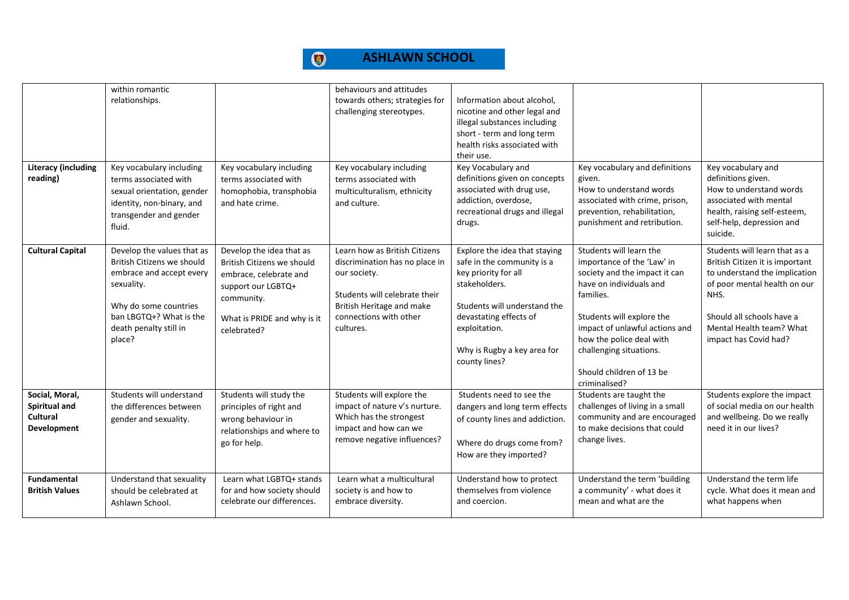#### $\bigcirc$ **ASHLAWN SCHOOL**

| <b>Literacy (including</b><br>reading)                            | within romantic<br>relationships.<br>Key vocabulary including<br>terms associated with<br>sexual orientation, gender<br>identity, non-binary, and<br>transgender and gender<br>fluid.      | Key vocabulary including<br>terms associated with<br>homophobia, transphobia<br>and hate crime.                                                                    | behaviours and attitudes<br>towards others; strategies for<br>challenging stereotypes.<br>Key vocabulary including<br>terms associated with<br>multiculturalism, ethnicity<br>and culture. | Information about alcohol,<br>nicotine and other legal and<br>illegal substances including<br>short - term and long term<br>health risks associated with<br>their use.<br>Key Vocabulary and<br>definitions given on concepts<br>associated with drug use,<br>addiction, overdose,<br>recreational drugs and illegal<br>drugs. | Key vocabulary and definitions<br>given.<br>How to understand words<br>associated with crime, prison,<br>prevention, rehabilitation,<br>punishment and retribution.                                                                                                                               | Key vocabulary and<br>definitions given.<br>How to understand words<br>associated with mental<br>health, raising self-esteem,<br>self-help, depression and<br>suicide.                                                      |
|-------------------------------------------------------------------|--------------------------------------------------------------------------------------------------------------------------------------------------------------------------------------------|--------------------------------------------------------------------------------------------------------------------------------------------------------------------|--------------------------------------------------------------------------------------------------------------------------------------------------------------------------------------------|--------------------------------------------------------------------------------------------------------------------------------------------------------------------------------------------------------------------------------------------------------------------------------------------------------------------------------|---------------------------------------------------------------------------------------------------------------------------------------------------------------------------------------------------------------------------------------------------------------------------------------------------|-----------------------------------------------------------------------------------------------------------------------------------------------------------------------------------------------------------------------------|
| <b>Cultural Capital</b>                                           | Develop the values that as<br>British Citizens we should<br>embrace and accept every<br>sexuality.<br>Why do some countries<br>ban LBGTQ+? What is the<br>death penalty still in<br>place? | Develop the idea that as<br>British Citizens we should<br>embrace, celebrate and<br>support our LGBTQ+<br>community.<br>What is PRIDE and why is it<br>celebrated? | Learn how as British Citizens<br>discrimination has no place in<br>our society.<br>Students will celebrate their<br>British Heritage and make<br>connections with other<br>cultures.       | Explore the idea that staying<br>safe in the community is a<br>key priority for all<br>stakeholders.<br>Students will understand the<br>devastating effects of<br>exploitation.<br>Why is Rugby a key area for<br>county lines?                                                                                                | Students will learn the<br>importance of the 'Law' in<br>society and the impact it can<br>have on individuals and<br>families.<br>Students will explore the<br>impact of unlawful actions and<br>how the police deal with<br>challenging situations.<br>Should children of 13 be<br>criminalised? | Students will learn that as a<br>British Citizen it is important<br>to understand the implication<br>of poor mental health on our<br>NHS.<br>Should all schools have a<br>Mental Health team? What<br>impact has Covid had? |
| Social, Moral,<br>Spiritual and<br>Cultural<br><b>Development</b> | Students will understand<br>the differences between<br>gender and sexuality.                                                                                                               | Students will study the<br>principles of right and<br>wrong behaviour in<br>relationships and where to<br>go for help.                                             | Students will explore the<br>impact of nature v's nurture.<br>Which has the strongest<br>impact and how can we<br>remove negative influences?                                              | Students need to see the<br>dangers and long term effects<br>of county lines and addiction.<br>Where do drugs come from?<br>How are they imported?                                                                                                                                                                             | Students are taught the<br>challenges of living in a small<br>community and are encouraged<br>to make decisions that could<br>change lives.                                                                                                                                                       | Students explore the impact<br>of social media on our health<br>and wellbeing. Do we really<br>need it in our lives?                                                                                                        |
| <b>Fundamental</b><br><b>British Values</b>                       | Understand that sexuality<br>should be celebrated at<br>Ashlawn School.                                                                                                                    | Learn what LGBTQ+ stands<br>for and how society should<br>celebrate our differences.                                                                               | Learn what a multicultural<br>society is and how to<br>embrace diversity.                                                                                                                  | Understand how to protect<br>themselves from violence<br>and coercion.                                                                                                                                                                                                                                                         | Understand the term 'building<br>a community' - what does it<br>mean and what are the                                                                                                                                                                                                             | Understand the term life<br>cycle. What does it mean and<br>what happens when                                                                                                                                               |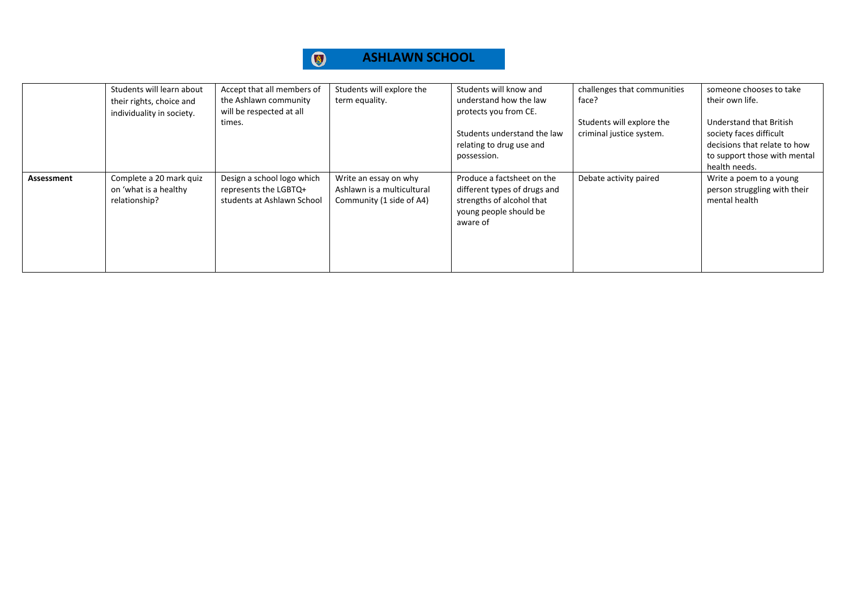#### $\bigcirc$ **ASHLAWN SCHOOL**

|            | Students will learn about<br>their rights, choice and<br>individuality in society. | Accept that all members of<br>the Ashlawn community<br>will be respected at all<br>times. | Students will explore the<br>term equality.                                     | Students will know and<br>understand how the law<br>protects you from CE.<br>Students understand the law<br>relating to drug use and<br>possession. | challenges that communities<br>face?<br>Students will explore the<br>criminal justice system. | someone chooses to take<br>their own life.<br>Understand that British<br>society faces difficult<br>decisions that relate to how<br>to support those with mental |
|------------|------------------------------------------------------------------------------------|-------------------------------------------------------------------------------------------|---------------------------------------------------------------------------------|-----------------------------------------------------------------------------------------------------------------------------------------------------|-----------------------------------------------------------------------------------------------|------------------------------------------------------------------------------------------------------------------------------------------------------------------|
| Assessment | Complete a 20 mark quiz<br>on 'what is a healthy<br>relationship?                  | Design a school logo which<br>represents the LGBTQ+<br>students at Ashlawn School         | Write an essay on why<br>Ashlawn is a multicultural<br>Community (1 side of A4) | Produce a factsheet on the<br>different types of drugs and<br>strengths of alcohol that<br>young people should be<br>aware of                       | Debate activity paired                                                                        | health needs.<br>Write a poem to a young<br>person struggling with their<br>mental health                                                                        |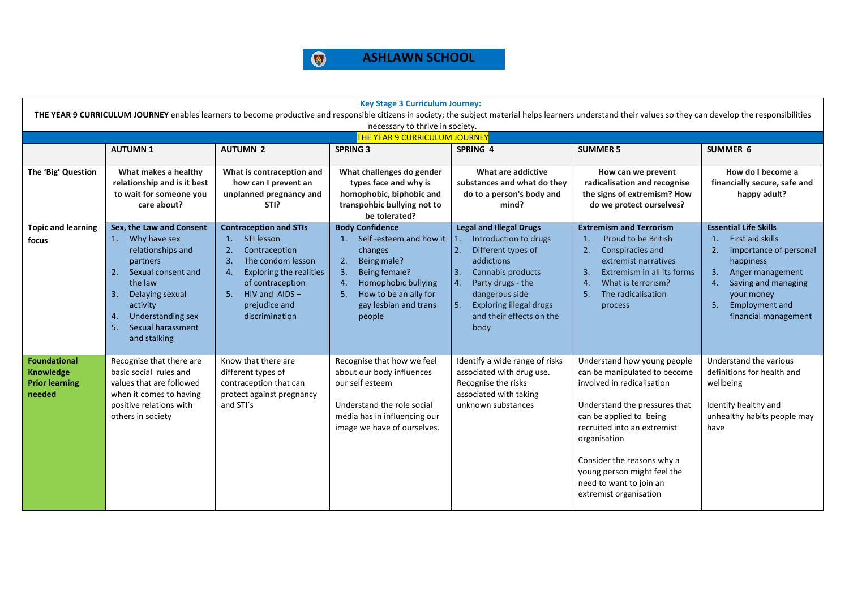

| <b>Key Stage 3 Curriculum Journey:</b><br>THE YEAR 9 CURRICULUM JOURNEY enables learners to become productive and responsible citizens in society; the subject material helps learners understand their values so they can develop the responsibilities |                                                                                                                                                                                                                             |                                                                                                                                                                                                                              |                                                                                                                                                                                                           |                                                                                                                                                                                                                                                                       |                                                                                                                                                                                                                                                                                                                        |                                                                                                                                                                                                                                                       |  |  |
|---------------------------------------------------------------------------------------------------------------------------------------------------------------------------------------------------------------------------------------------------------|-----------------------------------------------------------------------------------------------------------------------------------------------------------------------------------------------------------------------------|------------------------------------------------------------------------------------------------------------------------------------------------------------------------------------------------------------------------------|-----------------------------------------------------------------------------------------------------------------------------------------------------------------------------------------------------------|-----------------------------------------------------------------------------------------------------------------------------------------------------------------------------------------------------------------------------------------------------------------------|------------------------------------------------------------------------------------------------------------------------------------------------------------------------------------------------------------------------------------------------------------------------------------------------------------------------|-------------------------------------------------------------------------------------------------------------------------------------------------------------------------------------------------------------------------------------------------------|--|--|
|                                                                                                                                                                                                                                                         |                                                                                                                                                                                                                             |                                                                                                                                                                                                                              |                                                                                                                                                                                                           |                                                                                                                                                                                                                                                                       |                                                                                                                                                                                                                                                                                                                        |                                                                                                                                                                                                                                                       |  |  |
| necessary to thrive in society.<br>THE YEAR 9 CURRICULUM JOURNEY                                                                                                                                                                                        |                                                                                                                                                                                                                             |                                                                                                                                                                                                                              |                                                                                                                                                                                                           |                                                                                                                                                                                                                                                                       |                                                                                                                                                                                                                                                                                                                        |                                                                                                                                                                                                                                                       |  |  |
|                                                                                                                                                                                                                                                         | <b>AUTUMN1</b>                                                                                                                                                                                                              | <b>AUTUMN 2</b>                                                                                                                                                                                                              | <b>SPRING 3</b>                                                                                                                                                                                           | SPRING 4                                                                                                                                                                                                                                                              | <b>SUMMER 5</b>                                                                                                                                                                                                                                                                                                        | <b>SUMMER 6</b>                                                                                                                                                                                                                                       |  |  |
| The 'Big' Question                                                                                                                                                                                                                                      | What makes a healthy<br>relationship and is it best<br>to wait for someone you<br>care about?                                                                                                                               | What is contraception and<br>how can I prevent an<br>unplanned pregnancy and<br>STI?                                                                                                                                         | What challenges do gender<br>types face and why is<br>homophobic, biphobic and<br>transpohbic bullying not to<br>be tolerated?                                                                            | What are addictive<br>substances and what do they<br>do to a person's body and<br>mind?                                                                                                                                                                               | How can we prevent<br>radicalisation and recognise<br>the signs of extremism? How<br>do we protect ourselves?                                                                                                                                                                                                          | How do I become a<br>financially secure, safe and<br>happy adult?                                                                                                                                                                                     |  |  |
| <b>Topic and learning</b><br>focus                                                                                                                                                                                                                      | Sex, the Law and Consent<br>1. Why have sex<br>relationships and<br>partners<br>2. Sexual consent and<br>the law<br>3.<br>Delaying sexual<br>activity<br>Understanding sex<br>4.<br>Sexual harassment<br>5.<br>and stalking | <b>Contraception and STIs</b><br>STI lesson<br>1.<br>Contraception<br>2.<br>3.<br>The condom lesson<br>4.<br><b>Exploring the realities</b><br>of contraception<br>HIV and $AIDS -$<br>5.<br>prejudice and<br>discrimination | <b>Body Confidence</b><br>1. Self-esteem and how it<br>changes<br>Being male?<br>2.<br>Being female?<br>3.<br>Homophobic bullying<br>4.<br>How to be an ally for<br>5.<br>gay lesbian and trans<br>people | <b>Legal and Illegal Drugs</b><br>Introduction to drugs<br>Different types of<br>$\overline{2}$ .<br>addictions<br>l 3.<br>Cannabis products<br>4.<br>Party drugs - the<br>dangerous side<br>5.<br><b>Exploring illegal drugs</b><br>and their effects on the<br>body | <b>Extremism and Terrorism</b><br>Proud to be British<br>1.<br>2.<br>Conspiracies and<br>extremist narratives<br>$\overline{3}$<br>Extremism in all its forms<br>What is terrorism?<br>$\overline{4}$ .<br>The radicalisation<br>5.<br>process                                                                         | <b>Essential Life Skills</b><br>First aid skills<br>$\mathbf{1}$ .<br>2.<br>Importance of personal<br>happiness<br>3.<br>Anger management<br>Saving and managing<br>$\mathbf{4}$<br>your money<br><b>Employment and</b><br>5.<br>financial management |  |  |
| <b>Foundational</b><br><b>Knowledge</b><br><b>Prior learning</b><br>needed                                                                                                                                                                              | Recognise that there are<br>basic social rules and<br>values that are followed<br>when it comes to having<br>positive relations with<br>others in society                                                                   | Know that there are<br>different types of<br>contraception that can<br>protect against pregnancy<br>and STI's                                                                                                                | Recognise that how we feel<br>about our body influences<br>our self esteem<br>Understand the role social<br>media has in influencing our<br>image we have of ourselves.                                   | Identify a wide range of risks<br>associated with drug use.<br>Recognise the risks<br>associated with taking<br>unknown substances                                                                                                                                    | Understand how young people<br>can be manipulated to become<br>involved in radicalisation<br>Understand the pressures that<br>can be applied to being<br>recruited into an extremist<br>organisation<br>Consider the reasons why a<br>young person might feel the<br>need to want to join an<br>extremist organisation | Understand the various<br>definitions for health and<br>wellbeing<br>Identify healthy and<br>unhealthy habits people may<br>have                                                                                                                      |  |  |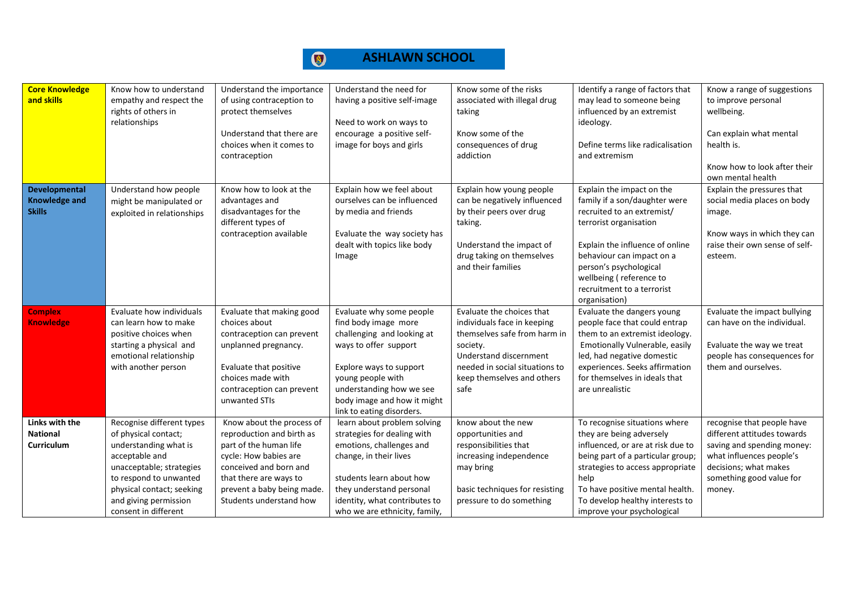| <b>Core Knowledge</b><br>and skills                    | Know how to understand<br>empathy and respect the<br>rights of others in<br>relationships                                                                                                                                        | Understand the importance<br>of using contraception to<br>protect themselves<br>Understand that there are<br>choices when it comes to<br>contraception                                                                 | Understand the need for<br>having a positive self-image<br>Need to work on ways to<br>encourage a positive self-<br>image for boys and girls                                                                                                    | Know some of the risks<br>associated with illegal drug<br>taking<br>Know some of the<br>consequences of drug<br>addiction                                                                              | Identify a range of factors that<br>may lead to someone being<br>influenced by an extremist<br>ideology.<br>Define terms like radicalisation<br>and extremism                                                                                                                          | Know a range of suggestions<br>to improve personal<br>wellbeing.<br>Can explain what mental<br>health is.<br>Know how to look after their<br>own mental health                     |
|--------------------------------------------------------|----------------------------------------------------------------------------------------------------------------------------------------------------------------------------------------------------------------------------------|------------------------------------------------------------------------------------------------------------------------------------------------------------------------------------------------------------------------|-------------------------------------------------------------------------------------------------------------------------------------------------------------------------------------------------------------------------------------------------|--------------------------------------------------------------------------------------------------------------------------------------------------------------------------------------------------------|----------------------------------------------------------------------------------------------------------------------------------------------------------------------------------------------------------------------------------------------------------------------------------------|------------------------------------------------------------------------------------------------------------------------------------------------------------------------------------|
| Developmental<br><b>Knowledge and</b><br><b>Skills</b> | Understand how people<br>might be manipulated or<br>exploited in relationships                                                                                                                                                   | Know how to look at the<br>advantages and<br>disadvantages for the<br>different types of<br>contraception available                                                                                                    | Explain how we feel about<br>ourselves can be influenced<br>by media and friends<br>Evaluate the way society has<br>dealt with topics like body<br>Image                                                                                        | Explain how young people<br>can be negatively influenced<br>by their peers over drug<br>taking.<br>Understand the impact of<br>drug taking on themselves<br>and their families                         | Explain the impact on the<br>family if a son/daughter were<br>recruited to an extremist/<br>terrorist organisation<br>Explain the influence of online<br>behaviour can impact on a<br>person's psychological<br>wellbeing (reference to<br>recruitment to a terrorist<br>organisation) | Explain the pressures that<br>social media places on body<br>image.<br>Know ways in which they can<br>raise their own sense of self-<br>esteem.                                    |
| <b>Complex</b><br><b>Knowledge</b>                     | Evaluate how individuals<br>can learn how to make<br>positive choices when<br>starting a physical and<br>emotional relationship<br>with another person                                                                           | Evaluate that making good<br>choices about<br>contraception can prevent<br>unplanned pregnancy.<br>Evaluate that positive<br>choices made with<br>contraception can prevent<br>unwanted STIs                           | Evaluate why some people<br>find body image more<br>challenging and looking at<br>ways to offer support<br>Explore ways to support<br>young people with<br>understanding how we see<br>body image and how it might<br>link to eating disorders. | Evaluate the choices that<br>individuals face in keeping<br>themselves safe from harm in<br>society.<br>Understand discernment<br>needed in social situations to<br>keep themselves and others<br>safe | Evaluate the dangers young<br>people face that could entrap<br>them to an extremist ideology.<br>Emotionally Vulnerable, easily<br>led, had negative domestic<br>experiences. Seeks affirmation<br>for themselves in ideals that<br>are unrealistic                                    | Evaluate the impact bullying<br>can have on the individual.<br>Evaluate the way we treat<br>people has consequences for<br>them and ourselves.                                     |
| Links with the<br><b>National</b><br>Curriculum        | Recognise different types<br>of physical contact;<br>understanding what is<br>acceptable and<br>unacceptable; strategies<br>to respond to unwanted<br>physical contact; seeking<br>and giving permission<br>consent in different | Know about the process of<br>reproduction and birth as<br>part of the human life<br>cycle: How babies are<br>conceived and born and<br>that there are ways to<br>prevent a baby being made.<br>Students understand how | learn about problem solving<br>strategies for dealing with<br>emotions, challenges and<br>change, in their lives<br>students learn about how<br>they understand personal<br>identity, what contributes to<br>who we are ethnicity, family,      | know about the new<br>opportunities and<br>responsibilities that<br>increasing independence<br>may bring<br>basic techniques for resisting<br>pressure to do something                                 | To recognise situations where<br>they are being adversely<br>influenced, or are at risk due to<br>being part of a particular group;<br>strategies to access appropriate<br>help<br>To have positive mental health.<br>To develop healthy interests to<br>improve your psychological    | recognise that people have<br>different attitudes towards<br>saving and spending money:<br>what influences people's<br>decisions; what makes<br>something good value for<br>money. |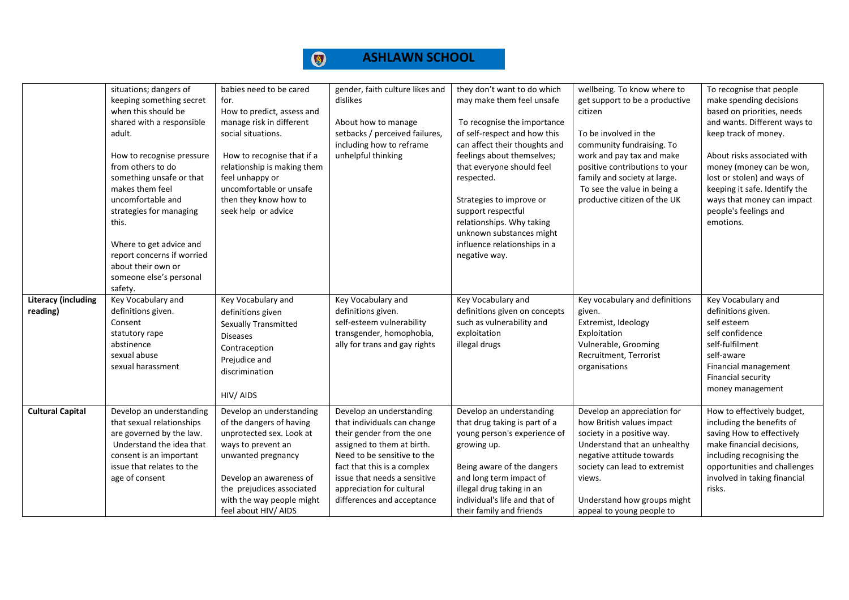| <b>Literacy (including</b> | situations; dangers of<br>keeping something secret<br>when this should be<br>shared with a responsible<br>adult.<br>How to recognise pressure<br>from others to do<br>something unsafe or that<br>makes them feel<br>uncomfortable and<br>strategies for managing<br>this.<br>Where to get advice and<br>report concerns if worried<br>about their own or<br>someone else's personal<br>safety.<br>Key Vocabulary and | babies need to be cared<br>for.<br>How to predict, assess and<br>manage risk in different<br>social situations.<br>How to recognise that if a<br>relationship is making them<br>feel unhappy or<br>uncomfortable or unsafe<br>then they know how to<br>seek help or advice<br>Key Vocabulary and | gender, faith culture likes and<br>dislikes<br>About how to manage<br>setbacks / perceived failures,<br>including how to reframe<br>unhelpful thinking<br>Key Vocabulary and                                                                                                | they don't want to do which<br>may make them feel unsafe<br>To recognise the importance<br>of self-respect and how this<br>can affect their thoughts and<br>feelings about themselves;<br>that everyone should feel<br>respected.<br>Strategies to improve or<br>support respectful<br>relationships. Why taking<br>unknown substances might<br>influence relationships in a<br>negative way.<br>Key Vocabulary and | wellbeing. To know where to<br>get support to be a productive<br>citizen<br>To be involved in the<br>community fundraising. To<br>work and pay tax and make<br>positive contributions to your<br>family and society at large.<br>To see the value in being a<br>productive citizen of the UK<br>Key vocabulary and definitions | To recognise that people<br>make spending decisions<br>based on priorities, needs<br>and wants. Different ways to<br>keep track of money.<br>About risks associated with<br>money (money can be won,<br>lost or stolen) and ways of<br>keeping it safe. Identify the<br>ways that money can impact<br>people's feelings and<br>emotions.<br>Key Vocabulary and |
|----------------------------|-----------------------------------------------------------------------------------------------------------------------------------------------------------------------------------------------------------------------------------------------------------------------------------------------------------------------------------------------------------------------------------------------------------------------|--------------------------------------------------------------------------------------------------------------------------------------------------------------------------------------------------------------------------------------------------------------------------------------------------|-----------------------------------------------------------------------------------------------------------------------------------------------------------------------------------------------------------------------------------------------------------------------------|---------------------------------------------------------------------------------------------------------------------------------------------------------------------------------------------------------------------------------------------------------------------------------------------------------------------------------------------------------------------------------------------------------------------|--------------------------------------------------------------------------------------------------------------------------------------------------------------------------------------------------------------------------------------------------------------------------------------------------------------------------------|----------------------------------------------------------------------------------------------------------------------------------------------------------------------------------------------------------------------------------------------------------------------------------------------------------------------------------------------------------------|
| reading)                   | definitions given.<br>Consent<br>statutory rape<br>abstinence<br>sexual abuse<br>sexual harassment                                                                                                                                                                                                                                                                                                                    | definitions given<br>Sexually Transmitted<br><b>Diseases</b><br>Contraception<br>Prejudice and<br>discrimination<br>HIV/AIDS                                                                                                                                                                     | definitions given.<br>self-esteem vulnerability<br>transgender, homophobia,<br>ally for trans and gay rights                                                                                                                                                                | definitions given on concepts<br>such as vulnerability and<br>exploitation<br>illegal drugs                                                                                                                                                                                                                                                                                                                         | given.<br>Extremist, Ideology<br>Exploitation<br>Vulnerable, Grooming<br>Recruitment, Terrorist<br>organisations                                                                                                                                                                                                               | definitions given.<br>self esteem<br>self confidence<br>self-fulfilment<br>self-aware<br>Financial management<br>Financial security<br>money management                                                                                                                                                                                                        |
| <b>Cultural Capital</b>    | Develop an understanding<br>that sexual relationships<br>are governed by the law.<br>Understand the idea that<br>consent is an important<br>issue that relates to the<br>age of consent                                                                                                                                                                                                                               | Develop an understanding<br>of the dangers of having<br>unprotected sex. Look at<br>ways to prevent an<br>unwanted pregnancy<br>Develop an awareness of<br>the prejudices associated<br>with the way people might<br>feel about HIV/ AIDS                                                        | Develop an understanding<br>that individuals can change<br>their gender from the one<br>assigned to them at birth.<br>Need to be sensitive to the<br>fact that this is a complex<br>issue that needs a sensitive<br>appreciation for cultural<br>differences and acceptance | Develop an understanding<br>that drug taking is part of a<br>young person's experience of<br>growing up.<br>Being aware of the dangers<br>and long term impact of<br>illegal drug taking in an<br>individual's life and that of<br>their family and friends                                                                                                                                                         | Develop an appreciation for<br>how British values impact<br>society in a positive way.<br>Understand that an unhealthy<br>negative attitude towards<br>society can lead to extremist<br>views.<br>Understand how groups might<br>appeal to young people to                                                                     | How to effectively budget,<br>including the benefits of<br>saving How to effectively<br>make financial decisions,<br>including recognising the<br>opportunities and challenges<br>involved in taking financial<br>risks.                                                                                                                                       |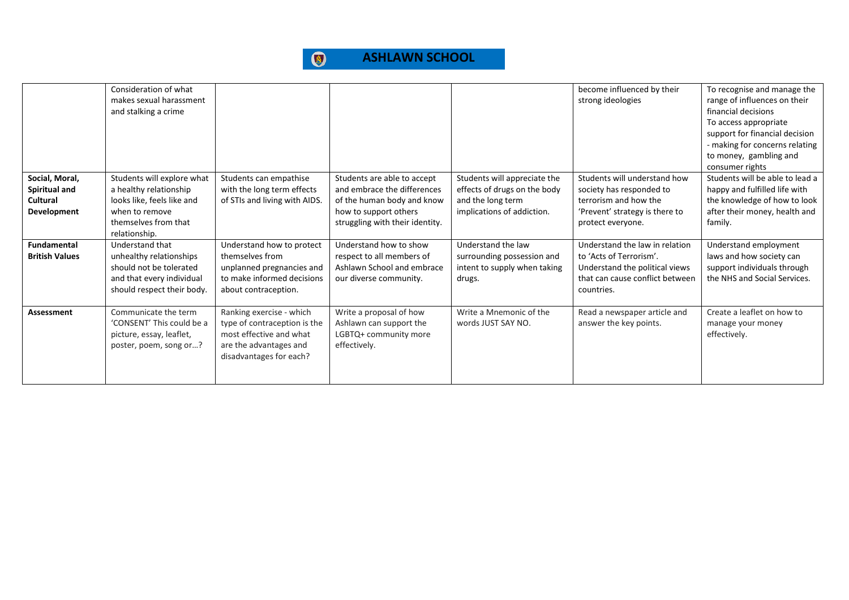

|                                                                   | Consideration of what<br>makes sexual harassment<br>and stalking a crime                                                                      |                                                                                                                                          |                                                                                                                                                      |                                                                                                                 | become influenced by their<br>strong ideologies                                                                                              | To recognise and manage the<br>range of influences on their<br>financial decisions<br>To access appropriate<br>support for financial decision<br>- making for concerns relating<br>to money, gambling and<br>consumer rights |
|-------------------------------------------------------------------|-----------------------------------------------------------------------------------------------------------------------------------------------|------------------------------------------------------------------------------------------------------------------------------------------|------------------------------------------------------------------------------------------------------------------------------------------------------|-----------------------------------------------------------------------------------------------------------------|----------------------------------------------------------------------------------------------------------------------------------------------|------------------------------------------------------------------------------------------------------------------------------------------------------------------------------------------------------------------------------|
| Social, Moral,<br>Spiritual and<br>Cultural<br><b>Development</b> | Students will explore what<br>a healthy relationship<br>looks like, feels like and<br>when to remove<br>themselves from that<br>relationship. | Students can empathise<br>with the long term effects<br>of STIs and living with AIDS.                                                    | Students are able to accept<br>and embrace the differences<br>of the human body and know<br>how to support others<br>struggling with their identity. | Students will appreciate the<br>effects of drugs on the body<br>and the long term<br>implications of addiction. | Students will understand how<br>society has responded to<br>terrorism and how the<br>'Prevent' strategy is there to<br>protect everyone.     | Students will be able to lead a<br>happy and fulfilled life with<br>the knowledge of how to look<br>after their money, health and<br>family.                                                                                 |
| <b>Fundamental</b><br><b>British Values</b>                       | Understand that<br>unhealthy relationships<br>should not be tolerated<br>and that every individual<br>should respect their body.              | Understand how to protect<br>themselves from<br>unplanned pregnancies and<br>to make informed decisions<br>about contraception.          | Understand how to show<br>respect to all members of<br>Ashlawn School and embrace<br>our diverse community.                                          | Understand the law<br>surrounding possession and<br>intent to supply when taking<br>drugs.                      | Understand the law in relation<br>to 'Acts of Terrorism'.<br>Understand the political views<br>that can cause conflict between<br>countries. | Understand employment<br>laws and how society can<br>support individuals through<br>the NHS and Social Services.                                                                                                             |
| Assessment                                                        | Communicate the term<br>'CONSENT' This could be a<br>picture, essay, leaflet,<br>poster, poem, song or?                                       | Ranking exercise - which<br>type of contraception is the<br>most effective and what<br>are the advantages and<br>disadvantages for each? | Write a proposal of how<br>Ashlawn can support the<br>LGBTQ+ community more<br>effectively.                                                          | Write a Mnemonic of the<br>words JUST SAY NO.                                                                   | Read a newspaper article and<br>answer the key points.                                                                                       | Create a leaflet on how to<br>manage your money<br>effectively.                                                                                                                                                              |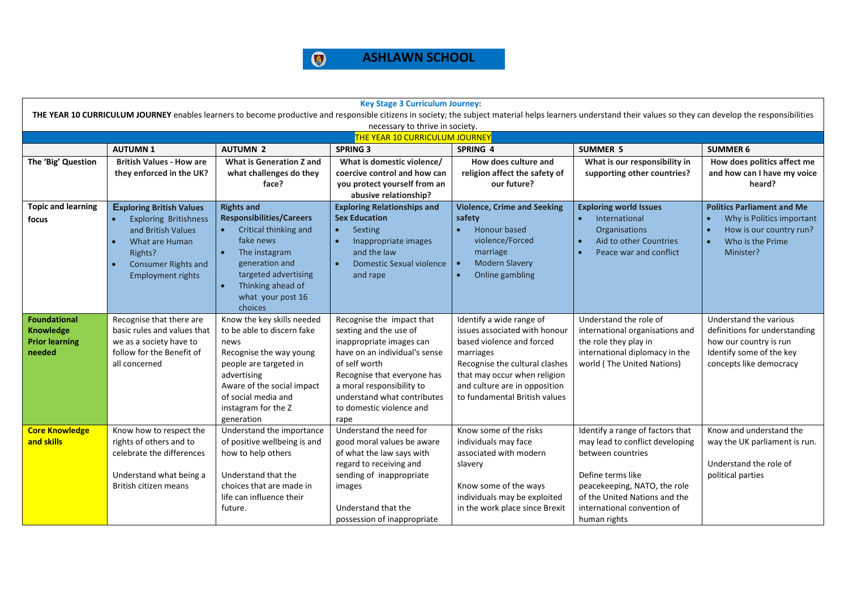

| <b>Key Stage 3 Curriculum Journey:</b>                                                                                                                                                                         |                                                                                                                                                                                           |                                                                                                                                                                                                                                      |                                                                                                                                                                                                                                                                  |                                                                                                                                                                                                                                         |                                                                                                                                                                                                                               |                                                                                                                                          |  |  |  |
|----------------------------------------------------------------------------------------------------------------------------------------------------------------------------------------------------------------|-------------------------------------------------------------------------------------------------------------------------------------------------------------------------------------------|--------------------------------------------------------------------------------------------------------------------------------------------------------------------------------------------------------------------------------------|------------------------------------------------------------------------------------------------------------------------------------------------------------------------------------------------------------------------------------------------------------------|-----------------------------------------------------------------------------------------------------------------------------------------------------------------------------------------------------------------------------------------|-------------------------------------------------------------------------------------------------------------------------------------------------------------------------------------------------------------------------------|------------------------------------------------------------------------------------------------------------------------------------------|--|--|--|
| THE YEAR 10 CURRICULUM JOURNEY enables learners to become productive and responsible citizens in society; the subject material helps learners understand their values so they can develop the responsibilities |                                                                                                                                                                                           |                                                                                                                                                                                                                                      |                                                                                                                                                                                                                                                                  |                                                                                                                                                                                                                                         |                                                                                                                                                                                                                               |                                                                                                                                          |  |  |  |
| necessary to thrive in society.<br>THE YEAR 10 CURRICULUM JOURNEY                                                                                                                                              |                                                                                                                                                                                           |                                                                                                                                                                                                                                      |                                                                                                                                                                                                                                                                  |                                                                                                                                                                                                                                         |                                                                                                                                                                                                                               |                                                                                                                                          |  |  |  |
| <b>AUTUMN 2</b><br>SPRING 4<br><b>SUMMER 5</b><br><b>AUTUMN1</b><br><b>SPRING 3</b><br><b>SUMMER 6</b>                                                                                                         |                                                                                                                                                                                           |                                                                                                                                                                                                                                      |                                                                                                                                                                                                                                                                  |                                                                                                                                                                                                                                         |                                                                                                                                                                                                                               |                                                                                                                                          |  |  |  |
| The 'Big' Question                                                                                                                                                                                             | <b>British Values - How are</b><br>they enforced in the UK?                                                                                                                               | <b>What is Generation Z and</b><br>what challenges do they<br>face?                                                                                                                                                                  | What is domestic violence/<br>coercive control and how can<br>you protect yourself from an<br>abusive relationship?                                                                                                                                              | How does culture and<br>religion affect the safety of<br>our future?                                                                                                                                                                    | What is our responsibility in<br>supporting other countries?                                                                                                                                                                  | How does politics affect me<br>and how can I have my voice<br>heard?                                                                     |  |  |  |
| <b>Topic and learning</b><br>focus                                                                                                                                                                             | <b>Exploring British Values</b><br><b>Exploring Britishness</b><br>and British Values<br>What are Human<br>$\bullet$<br>Rights?<br><b>Consumer Rights and</b><br><b>Employment rights</b> | <b>Rights and</b><br><b>Responsibilities/Careers</b><br>Critical thinking and<br>$\bullet$<br>fake news<br>The instagram<br>$\bullet$<br>generation and<br>targeted advertising<br>Thinking ahead of<br>what your post 16<br>choices | <b>Exploring Relationships and</b><br><b>Sex Education</b><br>Sexting<br>$\bullet$<br>Inappropriate images<br>and the law<br><b>Domestic Sexual violence</b><br>and rape                                                                                         | <b>Violence, Crime and Seeking</b><br>safety<br><b>Honour based</b><br>violence/Forced<br>marriage<br><b>Modern Slavery</b><br>$\bullet$<br>Online gambling<br>$\bullet$                                                                | <b>Exploring world Issues</b><br>International<br>$\bullet$<br><b>Organisations</b><br>Aid to other Countries<br>Peace war and conflict                                                                                       | <b>Politics Parliament and Me</b><br>Why is Politics important<br>How is our country run?<br>Who is the Prime<br>Minister?               |  |  |  |
| <b>Foundational</b><br><b>Knowledge</b><br><b>Prior learning</b><br>needed                                                                                                                                     | Recognise that there are<br>basic rules and values that<br>we as a society have to<br>follow for the Benefit of<br>all concerned                                                          | Know the key skills needed<br>to be able to discern fake<br>news<br>Recognise the way young<br>people are targeted in<br>advertising<br>Aware of the social impact<br>of social media and<br>instagram for the Z<br>generation       | Recognise the impact that<br>sexting and the use of<br>inappropriate images can<br>have on an individual's sense<br>of self worth<br>Recognise that everyone has<br>a moral responsibility to<br>understand what contributes<br>to domestic violence and<br>rape | Identify a wide range of<br>issues associated with honour<br>based violence and forced<br>marriages<br>Recognise the cultural clashes<br>that may occur when religion<br>and culture are in opposition<br>to fundamental British values | Understand the role of<br>international organisations and<br>the role they play in<br>international diplomacy in the<br>world (The United Nations)                                                                            | Understand the various<br>definitions for understanding<br>how our country is run<br>Identify some of the key<br>concepts like democracy |  |  |  |
| <b>Core Knowledge</b><br>and skills                                                                                                                                                                            | Know how to respect the<br>rights of others and to<br>celebrate the differences<br>Understand what being a<br>British citizen means                                                       | Understand the importance<br>of positive wellbeing is and<br>how to help others<br>Understand that the<br>choices that are made in<br>life can influence their<br>future.                                                            | Understand the need for<br>good moral values be aware<br>of what the law says with<br>regard to receiving and<br>sending of inappropriate<br>images<br>Understand that the<br>possession of inappropriate                                                        | Know some of the risks<br>individuals may face<br>associated with modern<br>slavery<br>Know some of the ways<br>individuals may be exploited<br>in the work place since Brexit                                                          | Identify a range of factors that<br>may lead to conflict developing<br>between countries<br>Define terms like<br>peacekeeping, NATO, the role<br>of the United Nations and the<br>international convention of<br>human rights | Know and understand the<br>way the UK parliament is run.<br>Understand the role of<br>political parties                                  |  |  |  |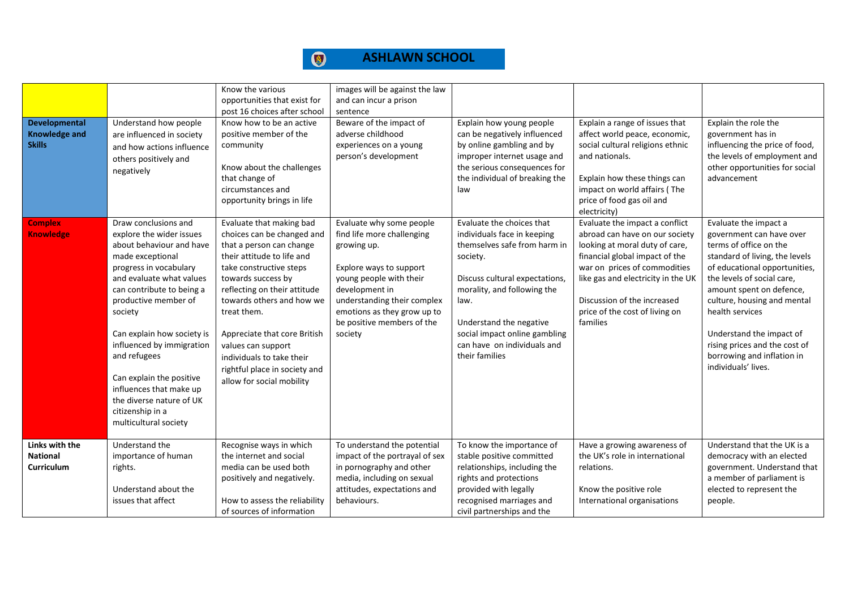| <b>Developmental</b><br><b>Knowledge and</b><br><b>Skills</b> | Understand how people<br>are influenced in society<br>and how actions influence<br>others positively and<br>negatively                                                                                                                                                                                                                                                                                                            | Know the various<br>opportunities that exist for<br>post 16 choices after school<br>Know how to be an active<br>positive member of the<br>community<br>Know about the challenges<br>that change of<br>circumstances and<br>opportunity brings in life                                                                                                                                          | images will be against the law<br>and can incur a prison<br>sentence<br>Beware of the impact of<br>adverse childhood<br>experiences on a young<br>person's development                                                                               | Explain how young people<br>can be negatively influenced<br>by online gambling and by<br>improper internet usage and<br>the serious consequences for<br>the individual of breaking the<br>law                                                                                              | Explain a range of issues that<br>affect world peace, economic,<br>social cultural religions ethnic<br>and nationals.<br>Explain how these things can<br>impact on world affairs (The<br>price of food gas oil and<br>electricity)                                                      | Explain the role the<br>government has in<br>influencing the price of food,<br>the levels of employment and<br>other opportunities for social<br>advancement                                                                                                                                                                                                                 |
|---------------------------------------------------------------|-----------------------------------------------------------------------------------------------------------------------------------------------------------------------------------------------------------------------------------------------------------------------------------------------------------------------------------------------------------------------------------------------------------------------------------|------------------------------------------------------------------------------------------------------------------------------------------------------------------------------------------------------------------------------------------------------------------------------------------------------------------------------------------------------------------------------------------------|------------------------------------------------------------------------------------------------------------------------------------------------------------------------------------------------------------------------------------------------------|--------------------------------------------------------------------------------------------------------------------------------------------------------------------------------------------------------------------------------------------------------------------------------------------|-----------------------------------------------------------------------------------------------------------------------------------------------------------------------------------------------------------------------------------------------------------------------------------------|------------------------------------------------------------------------------------------------------------------------------------------------------------------------------------------------------------------------------------------------------------------------------------------------------------------------------------------------------------------------------|
| <b>Complex</b><br><b>Knowledge</b>                            | Draw conclusions and<br>explore the wider issues<br>about behaviour and have<br>made exceptional<br>progress in vocabulary<br>and evaluate what values<br>can contribute to being a<br>productive member of<br>society<br>Can explain how society is<br>influenced by immigration<br>and refugees<br>Can explain the positive<br>influences that make up<br>the diverse nature of UK<br>citizenship in a<br>multicultural society | Evaluate that making bad<br>choices can be changed and<br>that a person can change<br>their attitude to life and<br>take constructive steps<br>towards success by<br>reflecting on their attitude<br>towards others and how we<br>treat them.<br>Appreciate that core British<br>values can support<br>individuals to take their<br>rightful place in society and<br>allow for social mobility | Evaluate why some people<br>find life more challenging<br>growing up.<br>Explore ways to support<br>young people with their<br>development in<br>understanding their complex<br>emotions as they grow up to<br>be positive members of the<br>society | Evaluate the choices that<br>individuals face in keeping<br>themselves safe from harm in<br>society.<br>Discuss cultural expectations,<br>morality, and following the<br>law.<br>Understand the negative<br>social impact online gambling<br>can have on individuals and<br>their families | Evaluate the impact a conflict<br>abroad can have on our society<br>looking at moral duty of care,<br>financial global impact of the<br>war on prices of commodities<br>like gas and electricity in the UK<br>Discussion of the increased<br>price of the cost of living on<br>families | Evaluate the impact a<br>government can have over<br>terms of office on the<br>standard of living, the levels<br>of educational opportunities,<br>the levels of social care,<br>amount spent on defence,<br>culture, housing and mental<br>health services<br>Understand the impact of<br>rising prices and the cost of<br>borrowing and inflation in<br>individuals' lives. |
| Links with the<br><b>National</b><br>Curriculum               | Understand the<br>importance of human<br>rights.<br>Understand about the<br>issues that affect                                                                                                                                                                                                                                                                                                                                    | Recognise ways in which<br>the internet and social<br>media can be used both<br>positively and negatively.<br>How to assess the reliability<br>of sources of information                                                                                                                                                                                                                       | To understand the potential<br>impact of the portrayal of sex<br>in pornography and other<br>media, including on sexual<br>attitudes, expectations and<br>behaviours.                                                                                | To know the importance of<br>stable positive committed<br>relationships, including the<br>rights and protections<br>provided with legally<br>recognised marriages and<br>civil partnerships and the                                                                                        | Have a growing awareness of<br>the UK's role in international<br>relations.<br>Know the positive role<br>International organisations                                                                                                                                                    | Understand that the UK is a<br>democracy with an elected<br>government. Understand that<br>a member of parliament is<br>elected to represent the<br>people.                                                                                                                                                                                                                  |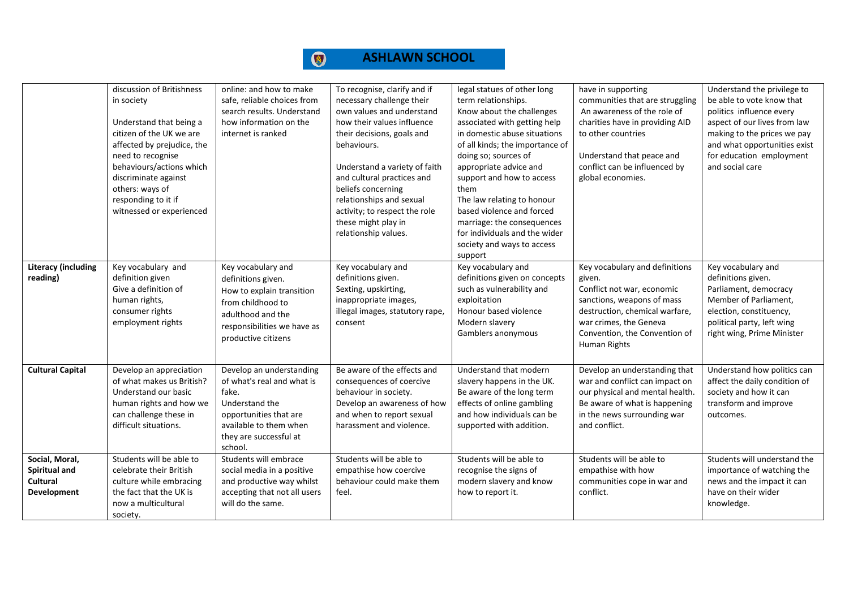|                                                                   | discussion of Britishness<br>in society<br>Understand that being a<br>citizen of the UK we are<br>affected by prejudice, the<br>need to recognise<br>behaviours/actions which<br>discriminate against<br>others: ways of<br>responding to it if<br>witnessed or experienced | online: and how to make<br>safe, reliable choices from<br>search results. Understand<br>how information on the<br>internet is ranked                                       | To recognise, clarify and if<br>necessary challenge their<br>own values and understand<br>how their values influence<br>their decisions, goals and<br>behaviours.<br>Understand a variety of faith<br>and cultural practices and<br>beliefs concerning<br>relationships and sexual<br>activity; to respect the role<br>these might play in<br>relationship values. | legal statues of other long<br>term relationships.<br>Know about the challenges<br>associated with getting help<br>in domestic abuse situations<br>of all kinds; the importance of<br>doing so; sources of<br>appropriate advice and<br>support and how to access<br>them<br>The law relating to honour<br>based violence and forced<br>marriage: the consequences<br>for individuals and the wider<br>society and ways to access<br>support | have in supporting<br>communities that are struggling<br>An awareness of the role of<br>charities have in providing AID<br>to other countries<br>Understand that peace and<br>conflict can be influenced by<br>global economies. | Understand the privilege to<br>be able to vote know that<br>politics influence every<br>aspect of our lives from law<br>making to the prices we pay<br>and what opportunities exist<br>for education employment<br>and social care |
|-------------------------------------------------------------------|-----------------------------------------------------------------------------------------------------------------------------------------------------------------------------------------------------------------------------------------------------------------------------|----------------------------------------------------------------------------------------------------------------------------------------------------------------------------|--------------------------------------------------------------------------------------------------------------------------------------------------------------------------------------------------------------------------------------------------------------------------------------------------------------------------------------------------------------------|----------------------------------------------------------------------------------------------------------------------------------------------------------------------------------------------------------------------------------------------------------------------------------------------------------------------------------------------------------------------------------------------------------------------------------------------|----------------------------------------------------------------------------------------------------------------------------------------------------------------------------------------------------------------------------------|------------------------------------------------------------------------------------------------------------------------------------------------------------------------------------------------------------------------------------|
| <b>Literacy (including</b><br>reading)                            | Key vocabulary and<br>definition given<br>Give a definition of<br>human rights,<br>consumer rights<br>employment rights                                                                                                                                                     | Key vocabulary and<br>definitions given.<br>How to explain transition<br>from childhood to<br>adulthood and the<br>responsibilities we have as<br>productive citizens      | Key vocabulary and<br>definitions given.<br>Sexting, upskirting,<br>inappropriate images,<br>illegal images, statutory rape,<br>consent                                                                                                                                                                                                                            | Key vocabulary and<br>definitions given on concepts<br>such as vulnerability and<br>exploitation<br>Honour based violence<br>Modern slavery<br>Gamblers anonymous                                                                                                                                                                                                                                                                            | Key vocabulary and definitions<br>given.<br>Conflict not war, economic<br>sanctions, weapons of mass<br>destruction, chemical warfare,<br>war crimes, the Geneva<br>Convention, the Convention of<br>Human Rights                | Key vocabulary and<br>definitions given.<br>Parliament, democracy<br>Member of Parliament,<br>election, constituency,<br>political party, left wing<br>right wing, Prime Minister                                                  |
| <b>Cultural Capital</b>                                           | Develop an appreciation<br>of what makes us British?<br>Understand our basic<br>human rights and how we<br>can challenge these in<br>difficult situations.                                                                                                                  | Develop an understanding<br>of what's real and what is<br>fake.<br>Understand the<br>opportunities that are<br>available to them when<br>they are successful at<br>school. | Be aware of the effects and<br>consequences of coercive<br>behaviour in society.<br>Develop an awareness of how<br>and when to report sexual<br>harassment and violence.                                                                                                                                                                                           | Understand that modern<br>slavery happens in the UK.<br>Be aware of the long term<br>effects of online gambling<br>and how individuals can be<br>supported with addition.                                                                                                                                                                                                                                                                    | Develop an understanding that<br>war and conflict can impact on<br>our physical and mental health.<br>Be aware of what is happening<br>in the news surrounding war<br>and conflict.                                              | Understand how politics can<br>affect the daily condition of<br>society and how it can<br>transform and improve<br>outcomes.                                                                                                       |
| Social, Moral,<br><b>Spiritual and</b><br>Cultural<br>Development | Students will be able to<br>celebrate their British<br>culture while embracing<br>the fact that the UK is<br>now a multicultural<br>society.                                                                                                                                | Students will embrace<br>social media in a positive<br>and productive way whilst<br>accepting that not all users<br>will do the same.                                      | Students will be able to<br>empathise how coercive<br>behaviour could make them<br>feel.                                                                                                                                                                                                                                                                           | Students will be able to<br>recognise the signs of<br>modern slavery and know<br>how to report it.                                                                                                                                                                                                                                                                                                                                           | Students will be able to<br>empathise with how<br>communities cope in war and<br>conflict.                                                                                                                                       | Students will understand the<br>importance of watching the<br>news and the impact it can<br>have on their wider<br>knowledge.                                                                                                      |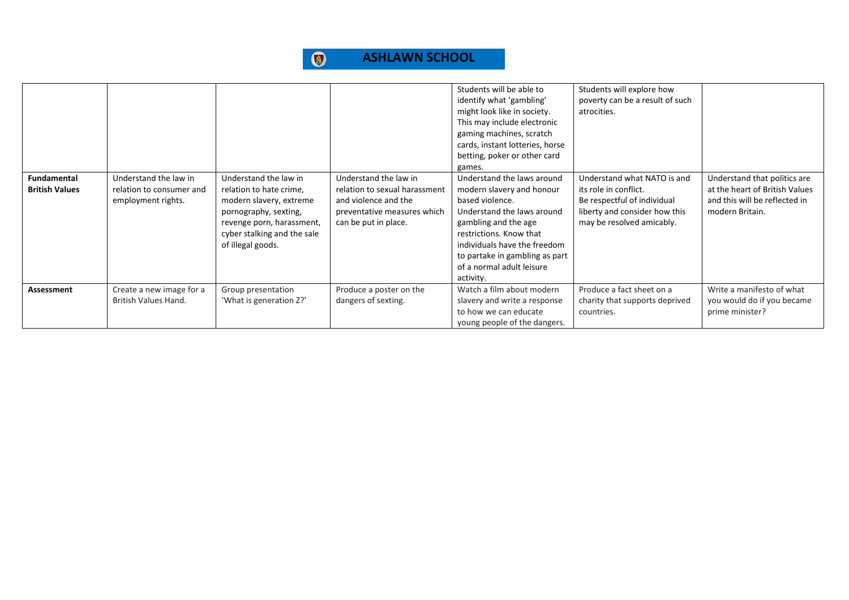|                                             |                                                                         |                                                                                                                                                                                       |                                                                                                                                       | Students will be able to<br>identify what 'gambling'<br>might look like in society.<br>This may include electronic<br>gaming machines, scratch<br>cards, instant lotteries, horse<br>betting, poker or other card<br>games.                                             | Students will explore how<br>poverty can be a result of such<br>atrocities.                                                                       |                                                                                                                    |
|---------------------------------------------|-------------------------------------------------------------------------|---------------------------------------------------------------------------------------------------------------------------------------------------------------------------------------|---------------------------------------------------------------------------------------------------------------------------------------|-------------------------------------------------------------------------------------------------------------------------------------------------------------------------------------------------------------------------------------------------------------------------|---------------------------------------------------------------------------------------------------------------------------------------------------|--------------------------------------------------------------------------------------------------------------------|
| <b>Fundamental</b><br><b>British Values</b> | Understand the law in<br>relation to consumer and<br>employment rights. | Understand the law in<br>relation to hate crime,<br>modern slavery, extreme<br>pornography, sexting,<br>revenge porn, harassment,<br>cyber stalking and the sale<br>of illegal goods. | Understand the law in<br>relation to sexual harassment<br>and violence and the<br>preventative measures which<br>can be put in place. | Understand the laws around<br>modern slavery and honour<br>based violence.<br>Understand the laws around<br>gambling and the age<br>restrictions. Know that<br>individuals have the freedom<br>to partake in gambling as part<br>of a normal adult leisure<br>activity. | Understand what NATO is and<br>its role in conflict.<br>Be respectful of individual<br>liberty and consider how this<br>may be resolved amicably. | Understand that politics are<br>at the heart of British Values<br>and this will be reflected in<br>modern Britain. |
| Assessment                                  | Create a new image for a<br>British Values Hand.                        | Group presentation<br>'What is generation Z?'                                                                                                                                         | Produce a poster on the<br>dangers of sexting.                                                                                        | Watch a film about modern<br>slavery and write a response<br>to how we can educate<br>young people of the dangers.                                                                                                                                                      | Produce a fact sheet on a<br>charity that supports deprived<br>countries.                                                                         | Write a manifesto of what<br>you would do if you became<br>prime minister?                                         |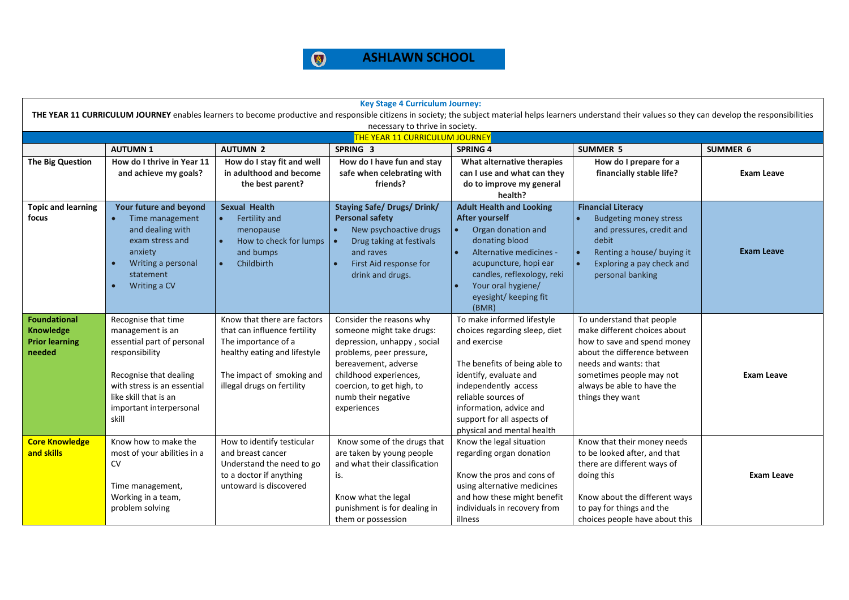

| <b>Key Stage 4 Curriculum Journey:</b>                                                                                                                                                                         |                                                                                                                                                                                                               |                                                                                                                                                                               |                                                                                                                                                                                                                                       |                                                                                                                                                                                                                                                                              |                                                                                                                                                                                                                                 |                   |  |  |  |
|----------------------------------------------------------------------------------------------------------------------------------------------------------------------------------------------------------------|---------------------------------------------------------------------------------------------------------------------------------------------------------------------------------------------------------------|-------------------------------------------------------------------------------------------------------------------------------------------------------------------------------|---------------------------------------------------------------------------------------------------------------------------------------------------------------------------------------------------------------------------------------|------------------------------------------------------------------------------------------------------------------------------------------------------------------------------------------------------------------------------------------------------------------------------|---------------------------------------------------------------------------------------------------------------------------------------------------------------------------------------------------------------------------------|-------------------|--|--|--|
| THE YEAR 11 CURRICULUM JOURNEY enables learners to become productive and responsible citizens in society; the subject material helps learners understand their values so they can develop the responsibilities |                                                                                                                                                                                                               |                                                                                                                                                                               |                                                                                                                                                                                                                                       |                                                                                                                                                                                                                                                                              |                                                                                                                                                                                                                                 |                   |  |  |  |
| necessary to thrive in society.<br>THE YEAR 11 CURRICULUM JOURNEY                                                                                                                                              |                                                                                                                                                                                                               |                                                                                                                                                                               |                                                                                                                                                                                                                                       |                                                                                                                                                                                                                                                                              |                                                                                                                                                                                                                                 |                   |  |  |  |
|                                                                                                                                                                                                                | <b>AUTUMN1</b>                                                                                                                                                                                                | <b>AUTUMN 2</b>                                                                                                                                                               | SPRING 3                                                                                                                                                                                                                              | <b>SPRING 4</b>                                                                                                                                                                                                                                                              | <b>SUMMER 5</b>                                                                                                                                                                                                                 | <b>SUMMER 6</b>   |  |  |  |
| <b>The Big Question</b>                                                                                                                                                                                        | How do I thrive in Year 11<br>and achieve my goals?                                                                                                                                                           | How do I stay fit and well<br>in adulthood and become<br>the best parent?                                                                                                     | How do I have fun and stay<br>safe when celebrating with<br>friends?                                                                                                                                                                  | What alternative therapies<br>can I use and what can they<br>do to improve my general<br>health?                                                                                                                                                                             | How do I prepare for a<br>financially stable life?                                                                                                                                                                              | <b>Exam Leave</b> |  |  |  |
| <b>Topic and learning</b><br>focus                                                                                                                                                                             | Your future and beyond<br>Time management<br>$\bullet$<br>and dealing with<br>exam stress and<br>anxiety<br>Writing a personal<br>$\bullet$<br>statement<br>Writing a CV<br>$\bullet$                         | <b>Sexual Health</b><br>Fertility and<br>$\bullet$<br>menopause<br>How to check for lumps<br>$\bullet$<br>and bumps<br>Childbirth<br>$\bullet$                                | <b>Staying Safe/ Drugs/ Drink/</b><br><b>Personal safety</b><br>New psychoactive drugs<br>Drug taking at festivals<br>and raves<br>First Aid response for<br>drink and drugs.                                                         | <b>Adult Health and Looking</b><br><b>After yourself</b><br>Organ donation and<br>donating blood<br>$\bullet$<br>Alternative medicines -<br>acupuncture, hopi ear<br>candles, reflexology, reki<br>Your oral hygiene/<br>eyesight/ keeping fit<br>(BMR)                      | <b>Financial Literacy</b><br><b>Budgeting money stress</b><br>and pressures, credit and<br>debit<br>Renting a house/ buying it<br>Exploring a pay check and<br>personal banking                                                 | <b>Exam Leave</b> |  |  |  |
| <b>Foundational</b><br><b>Knowledge</b><br><b>Prior learning</b><br>needed                                                                                                                                     | Recognise that time<br>management is an<br>essential part of personal<br>responsibility<br>Recognise that dealing<br>with stress is an essential<br>like skill that is an<br>important interpersonal<br>skill | Know that there are factors<br>that can influence fertility<br>The importance of a<br>healthy eating and lifestyle<br>The impact of smoking and<br>illegal drugs on fertility | Consider the reasons why<br>someone might take drugs:<br>depression, unhappy, social<br>problems, peer pressure,<br>bereavement, adverse<br>childhood experiences,<br>coercion, to get high, to<br>numb their negative<br>experiences | To make informed lifestyle<br>choices regarding sleep, diet<br>and exercise<br>The benefits of being able to<br>identify, evaluate and<br>independently access<br>reliable sources of<br>information, advice and<br>support for all aspects of<br>physical and mental health | To understand that people<br>make different choices about<br>how to save and spend money<br>about the difference between<br>needs and wants: that<br>sometimes people may not<br>always be able to have the<br>things they want | <b>Exam Leave</b> |  |  |  |
| <b>Core Knowledge</b><br>and skills                                                                                                                                                                            | Know how to make the<br>most of your abilities in a<br><b>CV</b><br>Time management,<br>Working in a team,<br>problem solving                                                                                 | How to identify testicular<br>and breast cancer<br>Understand the need to go<br>to a doctor if anything<br>untoward is discovered                                             | Know some of the drugs that<br>are taken by young people<br>and what their classification<br>is.<br>Know what the legal<br>punishment is for dealing in<br>them or possession                                                         | Know the legal situation<br>regarding organ donation<br>Know the pros and cons of<br>using alternative medicines<br>and how these might benefit<br>individuals in recovery from<br>illness                                                                                   | Know that their money needs<br>to be looked after, and that<br>there are different ways of<br>doing this<br>Know about the different ways<br>to pay for things and the<br>choices people have about this                        | <b>Exam Leave</b> |  |  |  |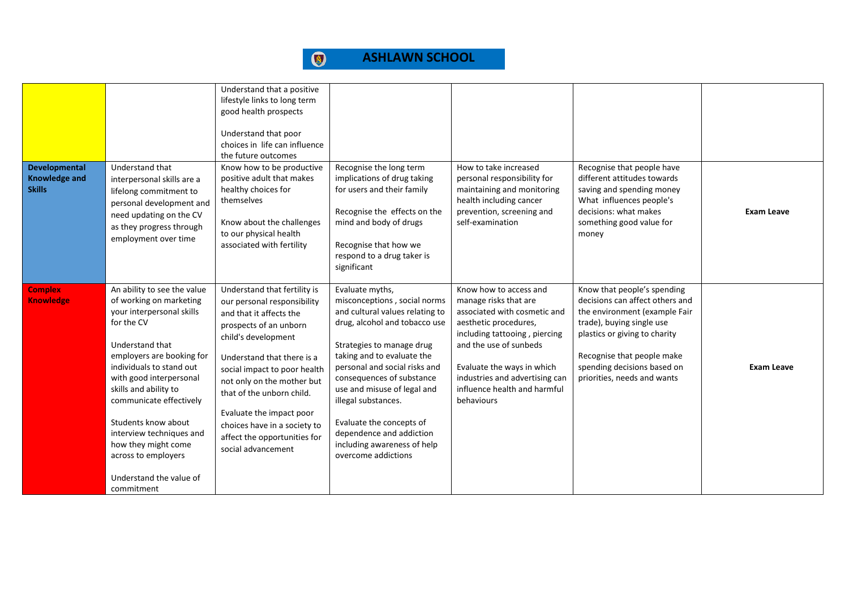| Developmental<br><b>Knowledge and</b><br><b>Skills</b> | Understand that<br>interpersonal skills are a<br>lifelong commitment to<br>personal development and<br>need updating on the CV<br>as they progress through<br>employment over time                                                                                                                                                                                                                     | Understand that a positive<br>lifestyle links to long term<br>good health prospects<br>Understand that poor<br>choices in life can influence<br>the future outcomes<br>Know how to be productive<br>positive adult that makes<br>healthy choices for<br>themselves<br>Know about the challenges<br>to our physical health<br>associated with fertility                             | Recognise the long term<br>implications of drug taking<br>for users and their family<br>Recognise the effects on the<br>mind and body of drugs<br>Recognise that how we<br>respond to a drug taker is<br>significant                                                                                                                                                                                             | How to take increased<br>personal responsibility for<br>maintaining and monitoring<br>health including cancer<br>prevention, screening and<br>self-examination                                                                                                                    | Recognise that people have<br>different attitudes towards<br>saving and spending money<br>What influences people's<br>decisions: what makes<br>something good value for<br>money                                                                          | <b>Exam Leave</b> |
|--------------------------------------------------------|--------------------------------------------------------------------------------------------------------------------------------------------------------------------------------------------------------------------------------------------------------------------------------------------------------------------------------------------------------------------------------------------------------|------------------------------------------------------------------------------------------------------------------------------------------------------------------------------------------------------------------------------------------------------------------------------------------------------------------------------------------------------------------------------------|------------------------------------------------------------------------------------------------------------------------------------------------------------------------------------------------------------------------------------------------------------------------------------------------------------------------------------------------------------------------------------------------------------------|-----------------------------------------------------------------------------------------------------------------------------------------------------------------------------------------------------------------------------------------------------------------------------------|-----------------------------------------------------------------------------------------------------------------------------------------------------------------------------------------------------------------------------------------------------------|-------------------|
| <b>Complex</b><br><b>Knowledge</b>                     | An ability to see the value<br>of working on marketing<br>your interpersonal skills<br>for the CV<br>Understand that<br>employers are booking for<br>individuals to stand out<br>with good interpersonal<br>skills and ability to<br>communicate effectively<br>Students know about<br>interview techniques and<br>how they might come<br>across to employers<br>Understand the value of<br>commitment | Understand that fertility is<br>our personal responsibility<br>and that it affects the<br>prospects of an unborn<br>child's development<br>Understand that there is a<br>social impact to poor health<br>not only on the mother but<br>that of the unborn child.<br>Evaluate the impact poor<br>choices have in a society to<br>affect the opportunities for<br>social advancement | Evaluate myths,<br>misconceptions, social norms<br>and cultural values relating to<br>drug, alcohol and tobacco use<br>Strategies to manage drug<br>taking and to evaluate the<br>personal and social risks and<br>consequences of substance<br>use and misuse of legal and<br>illegal substances.<br>Evaluate the concepts of<br>dependence and addiction<br>including awareness of help<br>overcome addictions | Know how to access and<br>manage risks that are<br>associated with cosmetic and<br>aesthetic procedures,<br>including tattooing, piercing<br>and the use of sunbeds<br>Evaluate the ways in which<br>industries and advertising can<br>influence health and harmful<br>behaviours | Know that people's spending<br>decisions can affect others and<br>the environment (example Fair<br>trade), buying single use<br>plastics or giving to charity<br>Recognise that people make<br>spending decisions based on<br>priorities, needs and wants | Exam Leave        |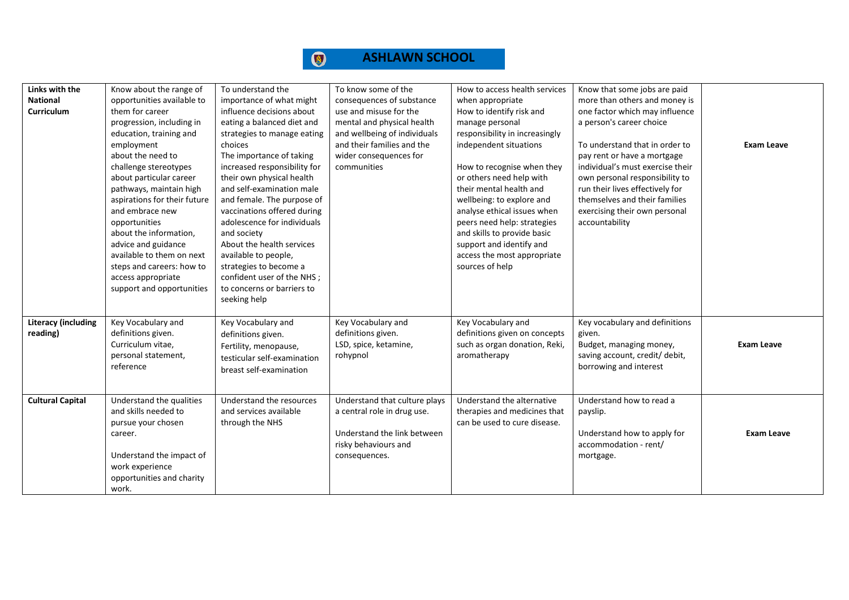

| Links with the             | Know about the range of      | To understand the            | To know some of the           | How to access health services  | Know that some jobs are paid     |                   |
|----------------------------|------------------------------|------------------------------|-------------------------------|--------------------------------|----------------------------------|-------------------|
| <b>National</b>            | opportunities available to   | importance of what might     | consequences of substance     | when appropriate               | more than others and money is    |                   |
| Curriculum                 | them for career              | influence decisions about    | use and misuse for the        | How to identify risk and       | one factor which may influence   |                   |
|                            | progression, including in    | eating a balanced diet and   | mental and physical health    | manage personal                | a person's career choice         |                   |
|                            | education, training and      | strategies to manage eating  | and wellbeing of individuals  | responsibility in increasingly |                                  |                   |
|                            | employment                   | choices                      | and their families and the    | independent situations         | To understand that in order to   | <b>Exam Leave</b> |
|                            | about the need to            | The importance of taking     | wider consequences for        |                                | pay rent or have a mortgage      |                   |
|                            | challenge stereotypes        | increased responsibility for | communities                   | How to recognise when they     | individual's must exercise their |                   |
|                            | about particular career      | their own physical health    |                               | or others need help with       | own personal responsibility to   |                   |
|                            | pathways, maintain high      | and self-examination male    |                               | their mental health and        | run their lives effectively for  |                   |
|                            | aspirations for their future | and female. The purpose of   |                               | wellbeing: to explore and      | themselves and their families    |                   |
|                            | and embrace new              | vaccinations offered during  |                               | analyse ethical issues when    | exercising their own personal    |                   |
|                            | opportunities                | adolescence for individuals  |                               | peers need help: strategies    | accountability                   |                   |
|                            | about the information,       | and society                  |                               | and skills to provide basic    |                                  |                   |
|                            | advice and guidance          | About the health services    |                               | support and identify and       |                                  |                   |
|                            | available to them on next    | available to people,         |                               | access the most appropriate    |                                  |                   |
|                            | steps and careers: how to    | strategies to become a       |                               | sources of help                |                                  |                   |
|                            | access appropriate           | confident user of the NHS;   |                               |                                |                                  |                   |
|                            | support and opportunities    | to concerns or barriers to   |                               |                                |                                  |                   |
|                            |                              | seeking help                 |                               |                                |                                  |                   |
|                            |                              |                              |                               |                                |                                  |                   |
| <b>Literacy (including</b> | Key Vocabulary and           | Key Vocabulary and           | Key Vocabulary and            | Key Vocabulary and             | Key vocabulary and definitions   |                   |
| reading)                   | definitions given.           | definitions given.           | definitions given.            | definitions given on concepts  | given.                           |                   |
|                            | Curriculum vitae,            | Fertility, menopause,        | LSD, spice, ketamine,         | such as organ donation, Reki,  | Budget, managing money,          | <b>Exam Leave</b> |
|                            | personal statement,          | testicular self-examination  | rohypnol                      | aromatherapy                   | saving account, credit/ debit,   |                   |
|                            | reference                    |                              |                               |                                | borrowing and interest           |                   |
|                            |                              | breast self-examination      |                               |                                |                                  |                   |
|                            |                              |                              |                               |                                |                                  |                   |
| <b>Cultural Capital</b>    | Understand the qualities     | Understand the resources     | Understand that culture plays | Understand the alternative     | Understand how to read a         |                   |
|                            | and skills needed to         | and services available       | a central role in drug use.   | therapies and medicines that   | payslip.                         |                   |
|                            | pursue your chosen           | through the NHS              |                               | can be used to cure disease.   |                                  |                   |
|                            | career.                      |                              | Understand the link between   |                                | Understand how to apply for      | Exam Leave        |
|                            |                              |                              | risky behaviours and          |                                | accommodation - rent/            |                   |
|                            | Understand the impact of     |                              | consequences.                 |                                | mortgage.                        |                   |
|                            | work experience              |                              |                               |                                |                                  |                   |
|                            | opportunities and charity    |                              |                               |                                |                                  |                   |
|                            | work.                        |                              |                               |                                |                                  |                   |